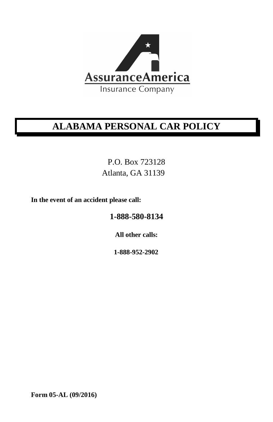

# **ALABAMA PERSONAL CAR POLICY**

P.O. Box 723128 Atlanta, GA 31139

**In the event of an accident please call:**

**1-888-580-8134**

**All other calls:**

**1-888-952-2902**

**Form 05-AL (09/2016)**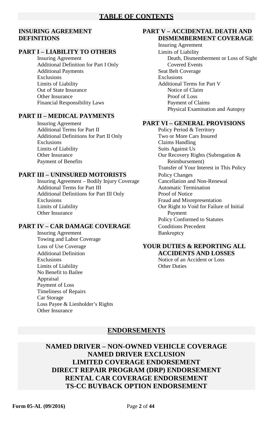#### **PART I – LIABILITY TO OTHERS** Limits of Liability

Additional Definition for Part I Only<br>
Additional Payments<br>
Seat Belt Coverage Additional Payments Exclusions Exclusions Limits of Liability **Additional Terms for Part V** Out of State Insurance<br>
Other Insurance<br>
Other Insurance<br>
Proof of Loss Other Insurance Financial Responsibility Laws Payment of Claims

#### **PART II – MEDICAL PAYMENTS**

Insuring Agreement **PART VI – GENERAL PROVISIONS**<br>Additional Terms for Part II **PART VI** – Policy Period & Territory Additional Terms for Part II Additional Definitions for Part II Only Two or More Cars Insured Exclusions Claims Handling Limits of Liability Suits Against Us Other Insurance Our Recovery Rights (Subrogation & Payment of Benefits **Reimbursement**) **Reimbursement** 

Insuring Agreement – Bodily Injury Coverage Cancellation and Non-F<br>Additional Terms for Part III (Automatic Termination Additional Terms for Part III Additional Definitions for Part III Only Proof of Notice<br>Exclusions Fraud and Misro Exclusions<br>
Limits of Liability<br>
Cur Right to Void for Failure Other Insurance Payment

#### **PART IV – CAR DAMAGE COVERAGE** Conditions Precedent

Insuring Agreement Bankruptcy Towing and Labor Coverage Additional Definition<br> **ACCIDENTS AND LOSSES**<br> **ACCIDENTS AND LOSSES**<br>
Notice of an Accident or Loss Limits of Liability Other Duties No Benefit to Bailee Appraisal Payment of Loss Timeliness of Repairs Car Storage Loss Payee & Lienholder's Rights Other Insurance

#### **INSURING AGREEMENT PART V – ACCIDENTAL DEATH AND DISMEMBERMENT COVERAGE**

Insuring Agreement Insuring Agreement Death, Dismemberment or Loss of Sight Physical Examination and Autopsy

Transfer of Your Interest in This Policy **PART III – UNINSURED MOTORISTS** Policy Changes<br>
Insuring Agreement – Bodily Injury Coverage Cancellation and Non-Renewal Our Right to Void for Failure of Initial Policy Conformed to Statutes

# Loss of Use Coverage **YOUR DUTIES & REPORTING ALL**

Notice of an Accident or Loss

#### **ENDORSEMENTS**

**NAMED DRIVER – NON-OWNED VEHICLE COVERAGE NAMED DRIVER EXCLUSION LIMITED COVERAGE ENDORSEMENT DIRECT REPAIR PROGRAM (DRP) ENDORSEMENT RENTAL CAR COVERAGE ENDORSEMENT TS-CC BUYBACK OPTION ENDORSEMENT**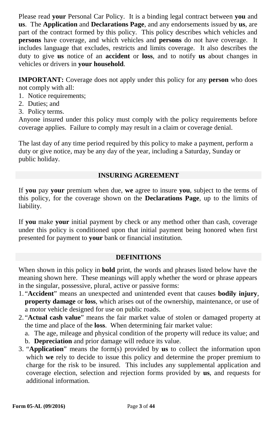Please read **your** Personal Car Policy. It is a binding legal contract between **you** and **us**. The **Application** and **Declarations Page**, and any endorsements issued by **us**, are part of the contract formed by this policy. This policy describes which vehicles and **persons** have coverage, and which vehicles and **persons** do not have coverage. It includes language that excludes, restricts and limits coverage. It also describes the duty to give **us** notice of an **accident** or **loss**, and to notify **us** about changes in vehicles or drivers in **your household**.

**IMPORTANT:** Coverage does not apply under this policy for any **person** who does not comply with all:

- 1. Notice requirements;
- 2. Duties; and
- 3. Policy terms.

Anyone insured under this policy must comply with the policy requirements before coverage applies. Failure to comply may result in a claim or coverage denial.

The last day of any time period required by this policy to make a payment, perform a duty or give notice, may be any day of the year, including a Saturday, Sunday or public holiday.

#### **INSURING AGREEMENT**

If **you** pay **your** premium when due, **we** agree to insure **you**, subject to the terms of this policy, for the coverage shown on the **Declarations Page**, up to the limits of liability.

If **you** make **your** initial payment by check or any method other than cash, coverage under this policy is conditioned upon that initial payment being honored when first presented for payment to **your** bank or financial institution.

#### **DEFINITIONS**

When shown in this policy in **bold** print, the words and phrases listed below have the meaning shown here. These meanings will apply whether the word or phrase appears in the singular, possessive, plural, active or passive forms:

- 1. "**Accident**" means an unexpected and unintended event that causes **bodily injury**, **property damage** or **loss**, which arises out of the ownership, maintenance, or use of a motor vehicle designed for use on public roads.
- 2. "**Actual cash value**" means the fair market value of stolen or damaged property at the time and place of the **loss**.When determining fair market value:
	- a. The age, mileage and physical condition of the property will reduce its value; and
	- b. **Depreciation** and prior damage will reduce its value.
- 3. "**Application**" means the form(s) provided by **us** to collect the information upon which **we** rely to decide to issue this policy and determine the proper premium to charge for the risk to be insured. This includes any supplemental application and coverage election, selection and rejection forms provided by **us**, and requests for additional information.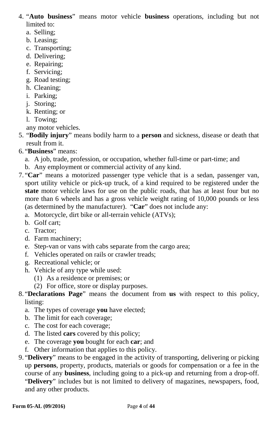4. "**Auto business**" means motor vehicle **business** operations, including but not limited to:

- a. Selling;
- b. Leasing;
- c. Transporting;
- d. Delivering;
- e. Repairing;
- f. Servicing;
- g. Road testing;
- h. Cleaning;
- i. Parking;
- j. Storing;
- k. Renting; or
- l. Towing;
- any motor vehicles.
- 5. "**Bodily injury**" means bodily harm to a **person** and sickness, disease or death that result from it.
- 6. "**Business**" means:
	- a. A job, trade, profession, or occupation, whether full-time or part-time; and
	- b. Any employment or commercial activity of any kind.
- 7. "**Car**" means a motorized passenger type vehicle that is a sedan, passenger van, sport utility vehicle or pick-up truck, of a kind required to be registered under the **state** motor vehicle laws for use on the public roads, that has at least four but no more than 6 wheels and has a gross vehicle weight rating of 10,000 pounds or less (as determined by the manufacturer). "**Car**" does not include any:
	- a. Motorcycle, dirt bike or all-terrain vehicle (ATVs);
	- b. Golf cart;
	- c. Tractor;
	- d. Farm machinery;
	- e. Step-van or vans with cabs separate from the cargo area;
	- f. Vehicles operated on rails or crawler treads;
	- g. Recreational vehicle; or
	- h. Vehicle of any type while used:
		- (1) As a residence or premises; or
		- (2) For office, store or display purposes.
- 8. "**Declarations Page**" means the document from **us** with respect to this policy, listing:
	- a. The types of coverage **you** have elected;
	- b. The limit for each coverage;
	- c. The cost for each coverage;
	- d. The listed **cars** covered by this policy;
	- e. The coverage **you** bought for each **car**; and
	- f. Other information that applies to this policy.
- 9. "**Delivery**" means to be engaged in the activity of transporting, delivering or picking up **persons**, property, products, materials or goods for compensation or a fee in the course of any **business**, including going to a pick-up and returning from a drop-off. "**Delivery**" includes but is not limited to delivery of magazines, newspapers, food, and any other products.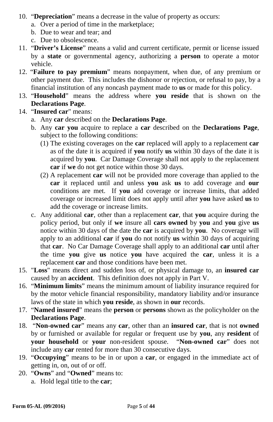- 10. "**Depreciation**" means a decrease in the value of property as occurs:
	- a. Over a period of time in the marketplace;
	- b. Due to wear and tear; and
	- c. Due to obsolescence.
- 11. "**Driver's License**" means a valid and current certificate, permit or license issued by a **state** or governmental agency, authorizing a **person** to operate a motor vehicle.
- 12. "**Failure to pay premium**" means nonpayment, when due, of any premium or other payment due. This includes the dishonor or rejection, or refusal to pay, by a financial institution of any noncash payment made to **us** or made for this policy.
- 13. "**Household**" means the address where **you reside** that is shown on the **Declarations Page**.
- 14. "**Insured car**" means:
	- a. Any **car** described on the **Declarations Page**.
	- b. Any **car you** acquire to replace a **car** described on the **Declarations Page**, subject to the following conditions:
		- (1) The existing coverages on the **car** replaced will apply to a replacement **car**  as of the date it is acquired if **you** notify **us** within 30 days of the date it is acquired by **you**. Car Damage Coverage shall not apply to the replacement **car** if **we** do not get notice within those 30 days.
		- (2) A replacement **car** will not be provided more coverage than applied to the **car** it replaced until and unless **you** ask **us** to add coverage and **our** conditions are met. If **you** add coverage or increase limits, that added coverage or increased limit does not apply until after **you** have asked **us** to add the coverage or increase limits.
	- c. Any additional **car**, other than a replacement **car**, that **you** acquire during the policy period, but only if **we** insure all **cars owned** by **you** and **you** give **us**  notice within 30 days of the date the **car** is acquired by **you**. No coverage will apply to an additional **car** if **you** do not notify **us** within 30 days of acquiring that **car**. No Car Damage Coverage shall apply to an additional **car** until after the time **you** give **us** notice **you** have acquired the **car**, unless it is a replacement **car** and those conditions have been met.
- 15. "**Loss**" means direct and sudden loss of, or physical damage to, an **insured car**  caused by an **accident**. This definition does not apply in Part V.
- 16. "**Minimum limits**" means the minimum amount of liability insurance required for by the motor vehicle financial responsibility, mandatory liability and/or insurance laws of the state in which **you reside**, as shown in **our** records.
- 17. "**Named insured**" means the **person** or **persons** shown as the policyholder on the **Declarations Page**.
- 18. "**Non-owned car**" means any **car**, other than an **insured car**, that is not **owned** by or furnished or available for regular or frequent use by **you**, any **resident** of **your household** or **your** non-resident spouse. "**Non-owned car**" does not include any **car** rented for more than 30 consecutive days.
- 19. "**Occupying**" means to be in or upon a **car**, or engaged in the immediate act of getting in, on, out of or off.
- 20. "**Owns**" and "**Owned**" means to:
	- a. Hold legal title to the **car**;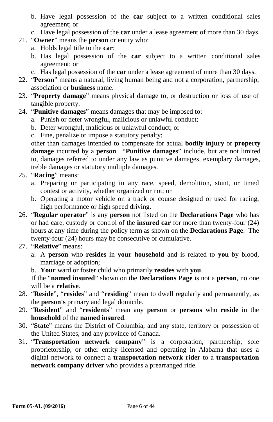- b. Have legal possession of the **car** subject to a written conditional sales agreement; or
- c. Have legal possession of the **car** under a lease agreement of more than 30 days.
- 21. "**Owner**" means the **person** or entity who:
	- a. Holds legal title to the **car**;
	- b. Has legal possession of the **car** subject to a written conditional sales agreement; or
	- c. Has legal possession of the **car** under a lease agreement of more than 30 days.
- 22. "**Person**" means a natural, living human being and not a corporation, partnership, association or **business** name.
- 23. "**Property damage**" means physical damage to, or destruction or loss of use of tangible property.
- 24. "**Punitive damages**" means damages that may be imposed to:
	- a. Punish or deter wrongful, malicious or unlawful conduct;
	- b. Deter wrongful, malicious or unlawful conduct; or
	- c. Fine, penalize or impose a statutory penalty;

other than damages intended to compensate for actual **bodily injury** or **property damage** incurred by a **person**. "**Punitive damages**" include, but are not limited to, damages referred to under any law as punitive damages, exemplary damages, treble damages or statutory multiple damages.

- 25. "**Racing**" means:
	- a. Preparing or participating in any race, speed, demolition, stunt, or timed contest or activity, whether organized or not; or
	- b. Operating a motor vehicle on a track or course designed or used for racing, high performance or high speed driving.
- 26. "**Regular operator**" is any **person** not listed on the **Declarations Page** who has or had care, custody or control of the **insured car** for more than twenty-four (24) hours at any time during the policy term as shown on the **Declarations Page**. The twenty-four (24) hours may be consecutive or cumulative.
- 27. "**Relative**" means:
	- a. A **person** who **resides** in **your household** and is related to **you** by blood, marriage or adoption;
	- b. **Your** ward or foster child who primarily **resides** with **you**.

If the "**named insured**" shown on the **Declarations Page** is not a **person**, no one will be a **relative**.

- 28. "**Reside**", "**resides**" and "**residing**" mean to dwell regularly and permanently, as the **person's** primary and legal domicile.
- 29. "**Resident**" and "**residents**" mean any **person** or **persons** who **reside** in the **household** of the **named insured**.
- 30. "**State**" means the District of Columbia, and any state, territory or possession of the United States, and any province of Canada.
- 31. "**Transportation network company**" is a corporation, partnership, sole proprietorship, or other entity licensed and operating in Alabama that uses a digital network to connect a **transportation network rider** to a **transportation network company driver** who provides a prearranged ride.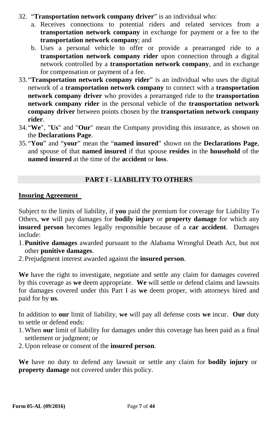- 32. "**Transportation network company driver**" is an individual who:
	- a. Receives connections to potential riders and related services from a **transportation network company** in exchange for payment or a fee to the **transportation network company**; and
	- b. Uses a personal vehicle to offer or provide a prearranged ride to a **transportation network company rider** upon connection through a digital network controlled by a **transportation network company**, and in exchange for compensation or payment of a fee.
- 33."**Transportation network company rider**" is an individual who uses the digital network of a **transportation network company** to connect with a **transportation network company driver** who provides a prearranged ride to the **transportation network company rider** in the personal vehicle of the **transportation network company driver** between points chosen by the **transportation network company rider**.
- 34."**We**", "**Us**" and "**Our**" mean the Company providing this insurance, as shown on the **Declarations Page**.
- 35."**You**" and "**your**" mean the "**named insured**" shown on the **Declarations Page**, and spouse of that **named insured** if that spouse **resides** in the **household** of the **named insured** at the time of the **accident** or **loss**.

#### **PART I - LIABILITY TO OTHERS**

#### **Insuring Agreement**

Subject to the limits of liability, if **you** paid the premium for coverage for Liability To Others, **we** will pay damages for **bodily injury** or **property damage** for which any **insured person** becomes legally responsible because of a **car accident**. Damages include:

- 1.**Punitive damages** awarded pursuant to the Alabama Wrongful Death Act, but not other **punitive damages**.
- 2. Prejudgment interest awarded against the **insured person**.

**We** have the right to investigate, negotiate and settle any claim for damages covered by this coverage as **we** deem appropriate. **We** will settle or defend claims and lawsuits for damages covered under this Part I as **we** deem proper, with attorneys hired and paid for by **us**.

In addition to **our** limit of liability, **we** will pay all defense costs **we** incur. **Our** duty to settle or defend ends:

- 1.When **our** limit of liability for damages under this coverage has been paid as a final settlement or judgment; or
- 2. Upon release or consent of the **insured person**.

**We** have no duty to defend any lawsuit or settle any claim for **bodily injury** or **property damage** not covered under this policy.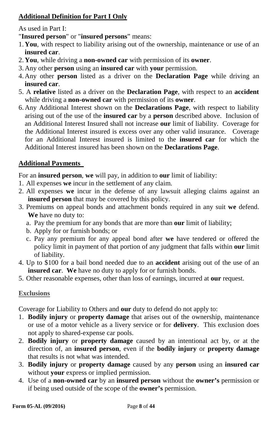## **Additional Definition for Part I Only**

As used in Part I:

"**Insured person**" or "**insured persons**" means:

- 1. **You**, with respect to liability arising out of the ownership, maintenance or use of an **insured car**.
- 2. **You**, while driving a **non-owned car** with permission of its **owner**.
- 3. Any other **person** using an **insured car** with **your** permission.
- 4. Any other **person** listed as a driver on the **Declaration Page** while driving an **insured car**.
- 5. A **relative** listed as a driver on the **Declaration Page**, with respect to an **accident** while driving a **non-owned car** with permission of its **owner**.
- 6. Any Additional Interest shown on the **Declarations Page**, with respect to liability arising out of the use of the **insured car** by a **person** described above. Inclusion of an Additional Interest Insured shall not increase **our** limit of liability. Coverage for the Additional Interest insured is excess over any other valid insurance. Coverage for an Additional Interest insured is limited to the **insured car** for which the Additional Interest insured has been shown on the **Declarations Page**.

## **Additional Payments**

For an **insured person**, **we** will pay, in addition to **our** limit of liability:

- 1. All expenses **we** incur in the settlement of any claim.
- 2. All expenses **we** incur in the defense of any lawsuit alleging claims against an **insured person** that may be covered by this policy.
- 3. Premiums on appeal bonds and attachment bonds required in any suit **we** defend. **We** have no duty to:
	- a. Pay the premium for any bonds that are more than **our** limit of liability;
	- b. Apply for or furnish bonds; or
	- c. Pay any premium for any appeal bond after **we** have tendered or offered the policy limit in payment of that portion of any judgment that falls within **our** limit of liability.
- 4. Up to \$100 for a bail bond needed due to an **accident** arising out of the use of an **insured car**. **We** have no duty to apply for or furnish bonds.
- 5. Other reasonable expenses, other than loss of earnings, incurred at **our** request.

## **Exclusions**

Coverage for Liability to Others and **our** duty to defend do not apply to:

- 1. **Bodily injury** or **property damage** that arises out of the ownership, maintenance or use of a motor vehicle as a livery service or for **delivery**. This exclusion does not apply to shared-expense car pools.
- 2. **Bodily injury** or **property damage** caused by an intentional act by, or at the direction of, an **insured person**, even if the **bodily injury** or **property damage** that results is not what was intended.
- 3. **Bodily injury** or **property damage** caused by any **person** using an **insured car** without **your** express or implied permission.
- 4. Use of a **non-owned car** by an **insured person** without the **owner's** permission or if being used outside of the scope of the **owner's** permission.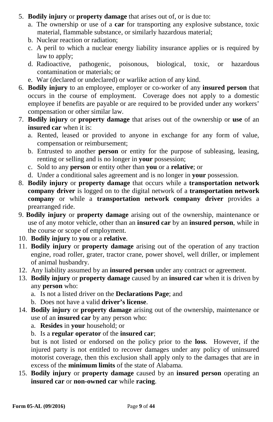- 5. **Bodily injury** or **property damage** that arises out of, or is due to:
	- a. The ownership or use of a **car** for transporting any explosive substance, toxic material, flammable substance, or similarly hazardous material;
	- b. Nuclear reaction or radiation;
	- c. A peril to which a nuclear energy liability insurance applies or is required by law to apply;
	- d. Radioactive, pathogenic, poisonous, biological, toxic, or hazardous contamination or materials; or
	- e. War (declared or undeclared) or warlike action of any kind.
- 6. **Bodily injury** to an employee, employer or co-worker of any **insured person** that occurs in the course of employment. Coverage does not apply to a domestic employee if benefits are payable or are required to be provided under any workers' compensation or other similar law.
- 7. **Bodily injury** or **property damage** that arises out of the ownership or **use** of an **insured car** when it is:
	- a. Rented, leased or provided to anyone in exchange for any form of value, compensation or reimbursement;
	- b. Entrusted to another **person** or entity for the purpose of subleasing, leasing, renting or selling and is no longer in **your** possession;
	- c. Sold to any **person** or entity other than **you** or a **relative**; or
	- d. Under a conditional sales agreement and is no longer in **your** possession.
- 8. **Bodily injury** or **property damage** that occurs while a **transportation network company driver** is logged on to the digital network of a **transportation network company** or while a **transportation network company driver** provides a prearranged ride.
- 9. **Bodily injury** or **property damage** arising out of the ownership, maintenance or use of any motor vehicle, other than an **insured car** by an **insured person**, while in the course or scope of employment.
- 10. **Bodily injury** to **you** or a **relative**.
- 11. **Bodily injury** or **property damage** arising out of the operation of any traction engine, road roller, grater, tractor crane, power shovel, well driller, or implement of animal husbandry.
- 12. Any liability assumed by an **insured person** under any contract or agreement.
- 13. **Bodily injury** or **property damage** caused by an **insured car** when it is driven by any **person** who:
	- a. Is not a listed driver on the **Declarations Page**; and
	- b. Does not have a valid **driver's license**.
- 14. **Bodily injury** or **property damage** arising out of the ownership, maintenance or use of an **insured car** by any person who:
	- a. **Resides** in **your** household; or
	- b. Is a **regular operator** of the **insured car**;

but is not listed or endorsed on the policy prior to the **loss**. However, if the injured party is not entitled to recover damages under any policy of uninsured motorist coverage, then this exclusion shall apply only to the damages that are in excess of the **minimum limits** of the state of Alabama.

15. **Bodily injury** or **property damage** caused by an **insured person** operating an **insured car** or **non-owned car** while **racing**.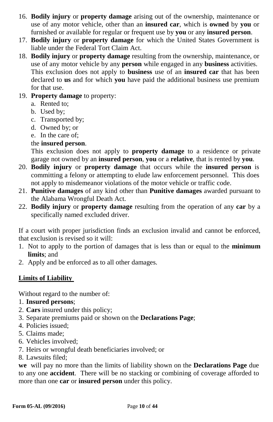- 16. **Bodily injury** or **property damage** arising out of the ownership, maintenance or use of any motor vehicle, other than an **insured car**, which is **owned** by **you** or furnished or available for regular or frequent use by **you** or any **insured person**.
- 17. **Bodily injury** or **property damage** for which the United States Government is liable under the Federal Tort Claim Act.
- 18. **Bodily injury** or **property damage** resulting from the ownership, maintenance, or use of any motor vehicle by any **person** while engaged in any **business** activities. This exclusion does not apply to **business** use of an **insured car** that has been declared to **us** and for which **you** have paid the additional business use premium for that use.
- 19. **Property damage** to property:
	- a. Rented to;
	- b. Used by;
	- c. Transported by;
	- d. Owned by; or
	- e. In the care of;
	- the **insured person**.

This exclusion does not apply to **property damage** to a residence or private garage not owned by an **insured person**, **you** or a **relative**, that is rented by **you**.

- 20. **Bodily injury** or **property damage** that occurs while the **insured person** is committing a felony or attempting to elude law enforcement personnel. This does not apply to misdemeanor violations of the motor vehicle or traffic code.
- 21. **Punitive damages** of any kind other than **Punitive damages** awarded pursuant to the Alabama Wrongful Death Act.
- 22. **Bodily injury** or **property damage** resulting from the operation of any **car** by a specifically named excluded driver.

If a court with proper jurisdiction finds an exclusion invalid and cannot be enforced, that exclusion is revised so it will:

- 1. Not to apply to the portion of damages that is less than or equal to the **minimum limits**; and
- 2. Apply and be enforced as to all other damages.

#### **Limits of Liability**

Without regard to the number of:

- 1. **Insured persons**;
- 2. **Cars** insured under this policy;
- 3. Separate premiums paid or shown on the **Declarations Page**;
- 4. Policies issued;
- 5. Claims made;
- 6. Vehicles involved;
- 7. Heirs or wrongful death beneficiaries involved; or
- 8. Lawsuits filed;

**we** will pay no more than the limits of liability shown on the **Declarations Page** due to any one **accident**. There will be no stacking or combining of coverage afforded to more than one **car** or **insured person** under this policy.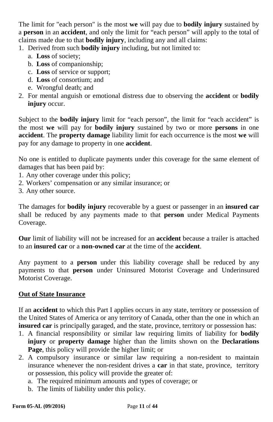The limit for "each person" is the most **we** will pay due to **bodily injury** sustained by a **person** in an **accident**, and only the limit for "each person" will apply to the total of claims made due to that **bodily injury**, including any and all claims:

- 1. Derived from such **bodily injury** including, but not limited to:
	- a. **Loss** of society;
	- b. **Loss** of companionship;
	- c. **Loss** of service or support;
	- d. **Loss** of consortium; and
	- e. Wrongful death; and
- 2. For mental anguish or emotional distress due to observing the **accident** or **bodily injury** occur.

Subject to the **bodily injury** limit for "each person", the limit for "each accident" is the most **we** will pay for **bodily injury** sustained by two or more **persons** in one **accident**. The **property damage** liability limit for each occurrence is the most **we** will pay for any damage to property in one **accident**.

No one is entitled to duplicate payments under this coverage for the same element of damages that has been paid by:

- 1. Any other coverage under this policy;
- 2. Workers' compensation or any similar insurance; or
- 3. Any other source.

The damages for **bodily injury** recoverable by a guest or passenger in an **insured car** shall be reduced by any payments made to that **person** under Medical Payments Coverage.

**Our** limit of liability will not be increased for an **accident** because a trailer is attached to an **insured car** or a **non-owned car** at the time of the **accident**.

Any payment to a **person** under this liability coverage shall be reduced by any payments to that **person** under Uninsured Motorist Coverage and Underinsured Motorist Coverage.

#### **Out of State Insurance**

If an **accident** to which this Part I applies occurs in any state, territory or possession of the United States of America or any territory of Canada, other than the one in which an **insured car** is principally garaged, and the state, province, territory or possession has:

- 1. A financial responsibility or similar law requiring limits of liability for **bodily injury** or **property damage** higher than the limits shown on the **Declarations Page**, this policy will provide the higher limit; or
- 2. A compulsory insurance or similar law requiring a non-resident to maintain insurance whenever the non-resident drives a **car** in that state, province, territory or possession, this policy will provide the greater of:
	- a. The required minimum amounts and types of coverage; or
	- b. The limits of liability under this policy.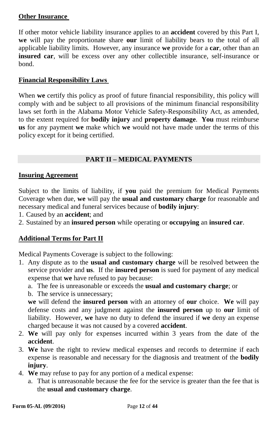#### **Other Insurance**

If other motor vehicle liability insurance applies to an **accident** covered by this Part I, **we** will pay the proportionate share **our** limit of liability bears to the total of all applicable liability limits. However, any insurance **we** provide for a **car**, other than an **insured car**, will be excess over any other collectible insurance, self-insurance or bond.

#### **Financial Responsibility Laws**

When **we** certify this policy as proof of future financial responsibility, this policy will comply with and be subject to all provisions of the minimum financial responsibility laws set forth in the Alabama Motor Vehicle Safety-Responsibility Act, as amended, to the extent required for **bodily injury** and **property damage**. **You** must reimburse **us** for any payment **we** make which **we** would not have made under the terms of this policy except for it being certified.

## **PART II – MEDICAL PAYMENTS**

#### **Insuring Agreement**

Subject to the limits of liability, if **you** paid the premium for Medical Payments Coverage when due, **we** will pay the **usual and customary charge** for reasonable and necessary medical and funeral services because of **bodily injury**:

- 1. Caused by an **accident**; and
- 2. Sustained by an **insured person** while operating or **occupying** an **insured car**.

## **Additional Terms for Part II**

Medical Payments Coverage is subject to the following:

- 1. Any dispute as to the **usual and customary charge** will be resolved between the service provider and **us**. If the **insured person** is sued for payment of any medical expense that **we** have refused to pay because:
	- a. The fee is unreasonable or exceeds the **usual and customary charge**; or
	- b. The service is unnecessary;

**we** will defend the **insured person** with an attorney of **our** choice. **We** will pay defense costs and any judgment against the **insured person** up to **our** limit of liability. However, **we** have no duty to defend the insured if **we** deny an expense charged because it was not caused by a covered **accident**.

- 2. **We** will pay only for expenses incurred within 3 years from the date of the **accident**.
- 3. **We** have the right to review medical expenses and records to determine if each expense is reasonable and necessary for the diagnosis and treatment of the **bodily injury**.
- 4. **We** may refuse to pay for any portion of a medical expense:
	- a. That is unreasonable because the fee for the service is greater than the fee that is the **usual and customary charge**.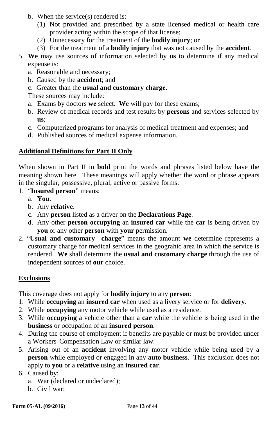- b. When the service(s) rendered is:
	- (1) Not provided and prescribed by a state licensed medical or health care provider acting within the scope of that license;
	- (2) Unnecessary for the treatment of the **bodily injury**; or
	- (3) For the treatment of a **bodily injury** that was not caused by the **accident**.
- 5. **We** may use sources of information selected by **us** to determine if any medical expense is:
	- a. Reasonable and necessary;
	- b. Caused by the **accident**; and
	- c. Greater than the **usual and customary charge**.

These sources may include:

- a. Exams by doctors **we** select. **We** will pay for these exams;
- b. Review of medical records and test results by **persons** and services selected by **us**;
- c. Computerized programs for analysis of medical treatment and expenses; and
- d. Published sources of medical expense information.

## **Additional Definitions for Part II Only**

When shown in Part II in **bold** print the words and phrases listed below have the meaning shown here. These meanings will apply whether the word or phrase appears in the singular, possessive, plural, active or passive forms:

- 1. "**Insured person**" means:
	- a. **You**.
	- b. Any **relative**.
	- c. Any **person** listed as a driver on the **Declarations Page**.
	- d. Any other **person occupying** an **insured car** while the **car** is being driven by **you** or any other **person** with **your** permission.
- 2. "**Usual and customary charge**" means the amount **we** determine represents a customary charge for medical services in the geograhic area in which the service is rendered. **We** shall determine the **usual and customary charge** through the use of independent sources of **our** choice.

## **Exclusions**

This coverage does not apply for **bodily injury** to any **person**:

- 1. While **occupying** an **insured car** when used as a livery service or for **delivery**.
- 2. While **occupying** any motor vehicle while used as a residence.
- 3. While **occupying** a vehicle other than a **car** while the vehicle is being used in the **business** or occupation of an **insured person**.
- 4. During the course of employment if benefits are payable or must be provided under a Workers' Compensation Law or similar law.
- 5. Arising out of an **accident** involving any motor vehicle while being used by a **person** while employed or engaged in any **auto business**. This exclusion does not apply to **you** or a **relative** using an **insured car**.
- 6. Caused by:
	- a. War (declared or undeclared);
	- b. Civil war;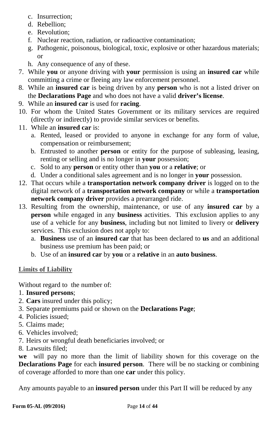- c. Insurrection;
- d. Rebellion;
- e. Revolution;
- f. Nuclear reaction, radiation, or radioactive contamination;
- g. Pathogenic, poisonous, biological, toxic, explosive or other hazardous materials; or
- h. Any consequence of any of these.
- 7. While **you** or anyone driving with **your** permission is using an **insured car** while committing a crime or fleeing any law enforcement personnel.
- 8. While an **insured car** is being driven by any **person** who is not a listed driver on the **Declarations Page** and who does not have a valid **driver's license**.
- 9. While an **insured car** is used for **racing**.
- 10. For whom the United States Government or its military services are required (directly or indirectly) to provide similar services or benefits.
- 11. While an **insured car** is:
	- a. Rented, leased or provided to anyone in exchange for any form of value, compensation or reimbursement;
	- b. Entrusted to another **person** or entity for the purpose of subleasing, leasing, renting or selling and is no longer in **your** possession;
	- c. Sold to any **person** or entity other than **you** or a **relative**; or
	- d. Under a conditional sales agreement and is no longer in **your** possession.
- 12. That occurs while a **transportation network company driver** is logged on to the digital network of a **transportation network company** or while a **transportation network company driver** provides a prearranged ride.
- 13. Resulting from the ownership, maintenance, or use of any **insured car** by a **person** while engaged in any **business** activities. This exclusion applies to any use of a vehicle for any **business**, including but not limited to livery or **delivery**  services. This exclusion does not apply to:
	- a. **Business** use of an **insured car** that has been declared to **us** and an additional business use premium has been paid; or
	- b. Use of an **insured car** by **you** or a **relative** in an **auto business**.

## **Limits of Liability**

Without regard to the number of:

- 1. **Insured persons**;
- 2. **Cars** insured under this policy;
- 3. Separate premiums paid or shown on the **Declarations Page**;
- 4. Policies issued;
- 5. Claims made;
- 6. Vehicles involved;
- 7. Heirs or wrongful death beneficiaries involved; or
- 8. Lawsuits filed;

**we** will pay no more than the limit of liability shown for this coverage on the **Declarations Page** for each **insured person**. There will be no stacking or combining of coverage afforded to more than one **car** under this policy.

Any amounts payable to an **insured person** under this Part II will be reduced by any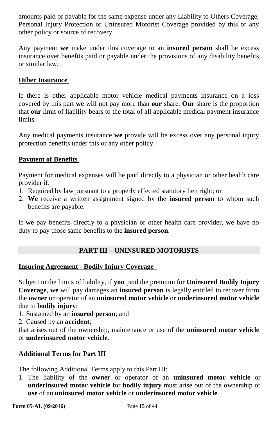amounts paid or payable for the same expense under any Liability to Others Coverage, Personal Injury Protection or Uninsured Motorist Coverage provided by this or any other policy or source of recovery.

Any payment **we** make under this coverage to an **insured person** shall be excess insurance over benefits paid or payable under the provisions of any disability benefits or similar law.

#### **Other Insurance**

If there is other applicable motor vehicle medical payments insurance on a loss covered by this part **we** will not pay more than **our** share. **Our** share is the proportion that **our** limit of liability bears to the total of all applicable medical payment insurance limits.

Any medical payments insurance **we** provide will be excess over any personal injury protection benefits under this or any other policy.

## **Payment of Benefits**

Payment for medical expenses will be paid directly to a physician or other health care provider if:

- 1. Required by law pursuant to a properly effected statutory lien right; or
- 2. **We** receive a written assignment signed by the **insured person** to whom such benefits are payable.

If **we** pay benefits directly to a physician or other health care provider, **we** have no duty to pay those same benefits to the **insured person**.

#### **PART III – UNINSURED MOTORISTS**

#### **Insuring Agreement - Bodily Injury Coverage**

Subject to the limits of liability, if **you** paid the premium for **Uninsured Bodily Injury Coverage**, **we** will pay damages an **insured person** is legally entitled to recover from the **owner** or operator of an **uninsured motor vehicle** or **underinsured motor vehicle** due to **bodily injury**:

1. Sustained by an **insured person**; and

2. Caused by an **accident**;

that arises out of the ownership, maintenance or use of the **uninsured motor vehicle** or **underinsured motor vehicle**.

#### **Additional Terms for Part III**

The following Additional Terms apply to this Part III:

1. The liability of the **owner** or operator of an **uninsured motor vehicle** or **underinsured motor vehicle** for **bodily injury** must arise out of the ownership or **use** of an **uninsured motor vehicle** or **underinsured motor vehicle**.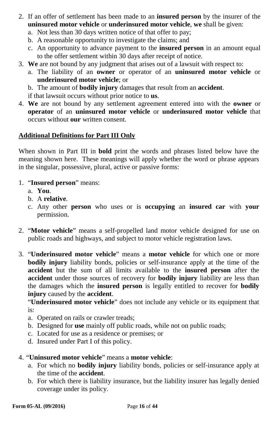- 2. If an offer of settlement has been made to an **insured person** by the insurer of the **uninsured motor vehicle** or **underinsured motor vehicle**, **we** shall be given:
	- a. Not less than 30 days written notice of that offer to pay;
	- b. A reasonable opportunity to investigate the claims; and
	- c. An opportunity to advance payment to the **insured person** in an amount equal to the offer settlement within 30 days after receipt of notice.
- 3. **We** are not bound by any judgment that arises out of a lawsuit with respect to:
	- a. The liability of an **owner** or operator of an **uninsured motor vehicle** or **underinsured motor vehicle**; or
	- b. The amount of **bodily injury** damages that result from an **accident**.
	- if that lawsuit occurs without prior notice to **us**.
- 4. **We** are not bound by any settlement agreement entered into with the **owner** or **operator** of an **uninsured motor vehicle** or **underinsured motor vehicle** that occurs without **our** written consent.

## **Additional Definitions for Part III Only**

When shown in Part III in **bold** print the words and phrases listed below have the meaning shown here. These meanings will apply whether the word or phrase appears in the singular, possessive, plural, active or passive forms:

- 1. "**Insured person**" means:
	- a. **You**.
	- b. A **relative**.
	- c. Any other **person** who uses or is **occupying** an **insured car** with **your** permission.
- 2. "**Motor vehicle**" means a self-propelled land motor vehicle designed for use on public roads and highways, and subject to motor vehicle registration laws.
- 3. "**Underinsured motor vehicle**" means a **motor vehicle** for which one or more **bodily injury** liability bonds, policies or self-insurance apply at the time of the **accident** but the sum of all limits available to the **insured person** after the **accident** under those sources of recovery for **bodily injury** liability are less than the damages which the **insured person** is legally entitled to recover for **bodily injury** caused by the **accident**.

"**Underinsured motor vehicle**" does not include any vehicle or its equipment that is:

- a. Operated on rails or crawler treads;
- b. Designed for **use** mainly off public roads, while not on public roads;
- c. Located for use as a residence or premises; or
- d. Insured under Part I of this policy.

## 4. "**Uninsured motor vehicle**" means a **motor vehicle**:

- a. For which no **bodily injury** liability bonds, policies or self-insurance apply at the time of the **accident**.
- b. For which there is liability insurance, but the liability insurer has legally denied coverage under its policy.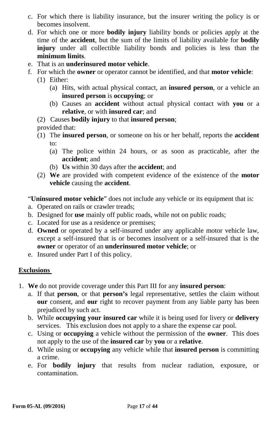- c. For which there is liability insurance, but the insurer writing the policy is or becomes insolvent.
- d. For which one or more **bodily injury** liability bonds or policies apply at the time of the **accident**, but the sum of the limits of liability available for **bodily injury** under all collectible liability bonds and policies is less than the **minimum limits**.
- e. That is an **underinsured motor vehicle**.
- f. For which the **owner** or operator cannot be identified, and that **motor vehicle**:
	- (1) Either:
		- (a) Hits, with actual physical contact, an **insured person**, or a vehicle an **insured person** is **occupying**; or
		- (b) Causes an **accident** without actual physical contact with **you** or a **relative**, or with **insured car**; and
	- (2) Causes **bodily injury** to that **insured person**;

provided that:

- (1) The **insured person**, or someone on his or her behalf, reports the **accident** to:
	- (a) The police within 24 hours, or as soon as practicable, after the **accident**; and
	- (b) **Us** within 30 days after the **accident**; and
- (2) **We** are provided with competent evidence of the existence of the **motor vehicle** causing the **accident**.

"**Uninsured motor vehicle**" does not include any vehicle or its equipment that is:

- a. Operated on rails or crawler treads;
- b. Designed for **use** mainly off public roads, while not on public roads;
- c. Located for use as a residence or premises;
- d. **Owned** or operated by a self-insured under any applicable motor vehicle law, except a self-insured that is or becomes insolvent or a self-insured that is the **owner** or operator of an **underinsured motor vehicle**; or
- e. Insured under Part I of this policy.

#### **Exclusions**

- 1. **We** do not provide coverage under this Part III for any **insured person**:
	- a. If that **person**, or that **person's** legal representative, settles the claim without **our** consent, and **our** right to recover payment from any liable party has been prejudiced by such act.
	- b. While **occupying your insured car** while it is being used for livery or **delivery**  services. This exclusion does not apply to a share the expense car pool.
	- c. Using or **occupying** a vehicle without the permission of the **owner**. This does not apply to the use of the **insured car** by **you** or a **relative**.
	- d. While using or **occupying** any vehicle while that **insured person** is committing a crime.
	- e. For **bodily injury** that results from nuclear radiation, exposure, or contamination.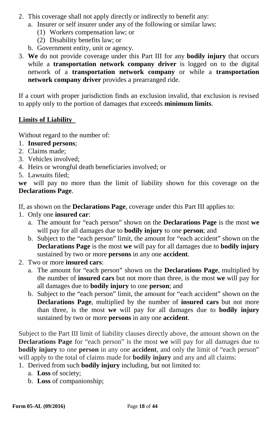- 2. This coverage shall not apply directly or indirectly to benefit any:
	- a. Insurer or self insurer under any of the following or similar laws:
		- (1) Workers compensation law; or
		- (2) Disability benefits law; or
	- b. Government entity, unit or agency.
- 3. **We** do not provide coverage under this Part III for any **bodily injury** that occurs while a **transportation network company driver** is logged on to the digital network of a **transportation network company** or while a **transportation network company driver** provides a prearranged ride.

If a court with proper jurisdiction finds an exclusion invalid, that exclusion is revised to apply only to the portion of damages that exceeds **minimum limits**.

## **Limits of Liability**

Without regard to the number of:

- 1. **Insured persons**;
- 2. Claims made;
- 3. Vehicles involved;
- 4. Heirs or wrongful death beneficiaries involved; or
- 5. Lawsuits filed;

**we** will pay no more than the limit of liability shown for this coverage on the **Declarations Page**.

- If, as shown on the **Declarations Page**, coverage under this Part III applies to:
- 1. Only one **insured car**:
	- a. The amount for "each person" shown on the **Declarations Page** is the most **we** will pay for all damages due to **bodily injury** to one **person**; and
	- b. Subject to the "each person" limit, the amount for "each accident" shown on the **Declarations Page** is the most **we** will pay for all damages due to **bodily injury** sustained by two or more **persons** in any one **accident**.
- 2. Two or more **insured cars**:
	- a. The amount for "each person" shown on the **Declarations Page**, multiplied by the number of **insured cars** but not more than three, is the most **we** will pay for all damages due to **bodily injury** to one **person**; and
	- b. Subject to the "each person" limit, the amount for "each accident" shown on the **Declarations Page**, multiplied by the number of **insured cars** but not more than three, is the most **we** will pay for all damages due to **bodily injury** sustained by two or more **persons** in any one **accident**.

Subject to the Part III limit of liability clauses directly above, the amount shown on the **Declarations Page** for "each person" is the most **we** will pay for all damages due to **bodily injury** to one **person** in any one **accident**, and only the limit of "each person" will apply to the total of claims made for **bodily injury** and any and all claims:

- 1. Derived from such **bodily injury** including, but not limited to:
	- a. **Loss** of society;
	- b. **Loss** of companionship;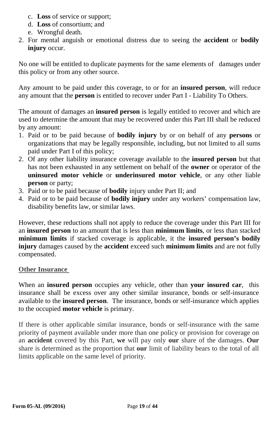- c. **Loss** of service or support;
- d. **Loss** of consortium; and
- e. Wrongful death.
- 2. For mental anguish or emotional distress due to seeing the **accident** or **bodily injury** occur.

No one will be entitled to duplicate payments for the same elements of damages under this policy or from any other source.

Any amount to be paid under this coverage, to or for an **insured person**, will reduce any amount that the **person** is entitled to recover under Part I - Liability To Others.

The amount of damages an **insured person** is legally entitled to recover and which are used to determine the amount that may be recovered under this Part III shall be reduced by any amount:

- 1. Paid or to be paid because of **bodily injury** by or on behalf of any **persons** or organizations that may be legally responsible, including, but not limited to all sums paid under Part I of this policy;
- 2. Of any other liability insurance coverage available to the **insured person** but that has not been exhausted in any settlement on behalf of the **owner** or operator of the **uninsured motor vehicle** or **underinsured motor vehicle**, or any other liable **person** or party;
- 3. Paid or to be paid because of **bodily** injury under Part II; and
- 4. Paid or to be paid because of **bodily injury** under any workers' compensation law, disability benefits law, or similar laws.

However, these reductions shall not apply to reduce the coverage under this Part III for an **insured person** to an amount that is less than **minimum limits**, or less than stacked **minimum limits** if stacked coverage is applicable, it the **insured person's bodily injury** damages caused by the **accident** exceed such **minimum limits** and are not fully compensated.

#### **Other Insurance**

When an **insured person** occupies any vehicle, other than **your insured car**, this insurance shall be excess over any other similar insurance, bonds or self-insurance available to the **insured person**. The insurance, bonds or self-insurance which applies to the occupied **motor vehicle** is primary.

If there is other applicable similar insurance, bonds or self-insurance with the same priority of payment available under more than one policy or provision for coverage on an **accident** covered by this Part, **we** will pay only **our** share of the damages. **Our** share is determined as the proportion that **our** limit of liability bears to the total of all limits applicable on the same level of priority.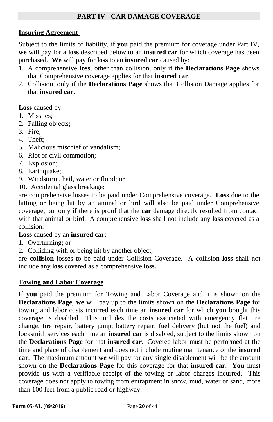### **PART IV - CAR DAMAGE COVERAGE**

#### **Insuring Agreement**

Subject to the limits of liability, if **you** paid the premium for coverage under Part IV, **we** will pay for a **loss** described below to an **insured car** for which coverage has been purchased. **We** will pay for **loss** to an **insured car** caused by:

- 1. A comprehensive **loss**, other than collision, only if the **Declarations Page** shows that Comprehensive coverage applies for that **insured car**.
- 2. Collision, only if the **Declarations Page** shows that Collision Damage applies for that **insured car**.

**Loss** caused by:

- 1. Missiles;
- 2. Falling objects;
- 3. Fire;
- 4. Theft;
- 5. Malicious mischief or vandalism;
- 6. Riot or civil commotion;
- 7. Explosion;
- 8. Earthquake;
- 9. Windstorm, hail, water or flood; or
- 10. Accidental glass breakage;

are comprehensive losses to be paid under Comprehensive coverage. **Loss** due to the hitting or being hit by an animal or bird will also be paid under Comprehensive coverage, but only if there is proof that the **car** damage directly resulted from contact with that animal or bird. A comprehensive **loss** shall not include any **loss** covered as a collision.

**Loss** caused by an **insured car**:

- 1. Overturning; or
- 2. Colliding with or being hit by another object;

are **collision** losses to be paid under Collision Coverage. A collision **loss** shall not include any **loss** covered as a comprehensive **loss.**

#### **Towing and Labor Coverage**

If **you** paid the premium for Towing and Labor Coverage and it is shown on the **Declarations Page**, **we** will pay up to the limits shown on the **Declarations Page** for towing and labor costs incurred each time an **insured car** for which **you** bought this coverage is disabled. This includes the costs associated with emergency flat tire change, tire repair, battery jump, battery repair, fuel delivery (but not the fuel) and locksmith services each time an **insured car** is disabled, subject to the limits shown on the **Declarations Page** for that **insured car**. Covered labor must be performed at the time and place of disablement and does not include routine maintenance of the **insured car**. The maximum amount **we** will pay for any single disablement will be the amount shown on the **Declarations Page** for this coverage for that **insured car**. **You** must provide **us** with a verifiable receipt of the towing or labor charges incurred. This coverage does not apply to towing from entrapment in snow, mud, water or sand, more than 100 feet from a public road or highway.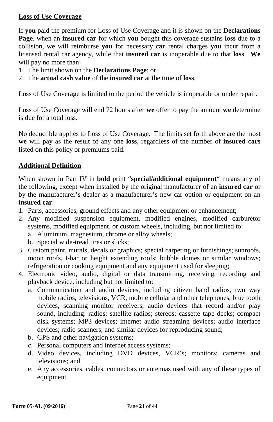## **Loss of Use Coverage**

If **you** paid the premium for Loss of Use Coverage and it is shown on the **Declarations Page**, when an **insured car** for which **you** bought this coverage sustains **loss** due to a collision, **we** will reimburse **you** for necessary **car** rental charges **you** incur from a licensed rental car agency, while that **insured car** is inoperable due to that **loss**. **We**  will pay no more than:

- 1. The limit shown on the **Declarations Page**; or
- 2. The **actual cash value** of the **insured car** at the time of **loss**.

Loss of Use Coverage is limited to the period the vehicle is inoperable or under repair.

Loss of Use Coverage will end 72 hours after **we** offer to pay the amount **we** determine is due for a total loss.

No deductible applies to Loss of Use Coverage. The limits set forth above are the most **we** will pay as the result of any one **loss**, regardless of the number of **insured cars** listed on this policy or premiums paid.

## **Additional Definition**

When shown in Part IV in **bold** print "**special/additional equipment**" means any of the following, except when installed by the original manufacturer of an **insured car** or by the manufacturer's dealer as a manufacturer's new car option or equipment on an **insured car**:

- 1. Parts, accessories, ground effects and any other equipment or enhancement;
- 2. Any modified suspension equipment, modified engines, modified carburetor systems, modified equipment, or custom wheels, including, but not limited to:
	- a. Aluminum, magnesium, chrome or alloy wheels;
	- b. Special wide-tread tires or slicks;
- 3. Custom paint, murals, decals or graphics; special carpeting or furnishings; sunroofs, moon roofs, t-bar or height extending roofs; bubble domes or similar windows; refrigeration or cooking equipment and any equipment used for sleeping;
- 4. Electronic video, audio, digital or data transmitting, receiving, recording and playback device, including but not limited to:
	- a. Communication and audio devices, including citizen band radios, two way mobile radios, televisions, VCR, mobile cellular and other telephones, blue tooth devices, scanning monitor receivers, audio devices that record and/or play sound, including: radios; satellite radios; stereos; cassette tape decks; compact disk systems; MP3 devices; internet audio streaming devices; audio interface devices; radio scanners; and similar devices for reproducing sound;
	- b. GPS and other navigation systems;
	- c. Personal computers and internet access systems;
	- d. Video devices, including DVD devices, VCR's; monitors; cameras and televisions; and
	- e. Any accessories, cables, connectors or antennas used with any of these types of equipment.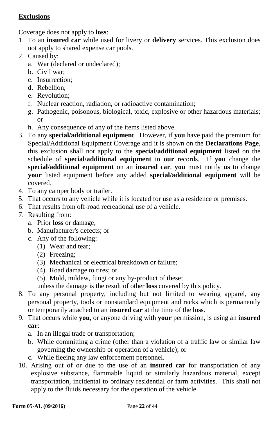## **Exclusions**

Coverage does not apply to **loss**:

- 1. To an **insured car** while used for livery or **delivery** services. This exclusion does not apply to shared expense car pools.
- 2. Caused by:
	- a. War (declared or undeclared);
	- b. Civil war;
	- c. Insurrection;
	- d. Rebellion;
	- e. Revolution;
	- f. Nuclear reaction, radiation, or radioactive contamination;
	- g. Pathogenic, poisonous, biological, toxic, explosive or other hazardous materials; or
	- h. Any consequence of any of the items listed above.
- 3. To any **special/additional equipment**. However, if **you** have paid the premium for Special/Additional Equipment Coverage and it is shown on the **Declarations Page**, this exclusion shall not apply to the **special/additional equipment** listed on the schedule of **special/additional equipment** in **our** records. If **you** change the **special/additional equipment** on an **insured car**, **you** must notify **us** to change **your** listed equipment before any added **special/additional equipment** will be covered.
- 4. To any camper body or trailer.
- 5. That occurs to any vehicle while it is located for use as a residence or premises.
- 6. That results from off-road recreational use of a vehicle.
- 7. Resulting from:
	- a. Prior **loss** or damage;
	- b. Manufacturer's defects; or
	- c. Any of the following:
		- (1) Wear and tear;
		- (2) Freezing;
		- (3) Mechanical or electrical breakdown or failure;
		- (4) Road damage to tires; or
		- (5) Mold, mildew, fungi or any by-product of these;

unless the damage is the result of other **loss** covered by this policy.

- 8. To any personal property, including but not limited to wearing apparel, any personal property, tools or nonstandard equipment and racks which is permanently or temporarily attached to an **insured car** at the time of the **loss**.
- 9. That occurs while **you**, or anyone driving with **your** permission, is using an **insured car**:
	- a. In an illegal trade or transportation;
	- b. While committing a crime (other than a violation of a traffic law or similar law governing the ownership or operation of a vehicle); or
	- c. While fleeing any law enforcement personnel.
- 10. Arising out of or due to the use of an **insured car** for transportation of any explosive substance, flammable liquid or similarly hazardous material, except transportation, incidental to ordinary residential or farm activities. This shall not apply to the fluids necessary for the operation of the vehicle.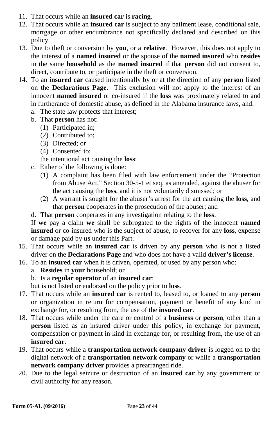- 11. That occurs while an **insured car** is **racing**.
- 12. That occurs while an **insured car** is subject to any bailment lease, conditional sale, mortgage or other encumbrance not specifically declared and described on this policy.
- 13. Due to theft or conversion by **you**, or a **relative**. However, this does not apply to the interest of a **named insured** or the spouse of the **named insured** who **resides** in the same **household** as the **named insured** if that **person** did not consent to, direct, contribute to, or participate in the theft or conversion.
- 14. To an **insured car** caused intentionally by or at the direction of any **person** listed on the **Declarations Page**. This exclusion will not apply to the interest of an innocent **named insured** or co-insured if the **loss** was proximately related to and in furtherance of domestic abuse, as defined in the Alabama insurance laws, and:
	- a. The state law protects that interest;
	- b. That **person** has not:
		- (1) Participated in;
		- (2) Contributed to;
		- (3) Directed; or
		- (4) Consented to;
		- the intentional act causing the **loss**;
	- c. Either of the following is done:
		- (1) A complaint has been filed with law enforcement under the "Protection from Abuse Act," Section 30-5-1 et seq. as amended, against the abuser for the act causing the **loss**, and it is not voluntarily dismissed; or
		- (2) A warrant is sought for the abuser's arrest for the act causing the **loss**, and that **person** cooperates in the prosecution of the abuser; and
	- d. That **person** cooperates in any investigation relating to the **loss**.

If **we** pay a claim **we** shall be subrogated to the rights of the innocent **named insured** or co-insured who is the subject of abuse, to recover for any **loss**, expense or damage paid by **us** under this Part.

- 15. That occurs while an **insured car** is driven by any **person** who is not a listed driver on the **Declarations Page** and who does not have a valid **driver's license**.
- 16. To an **insured car** when it is driven, operated, or used by any person who:
	- a. **Resides** in **your** household; or
	- b. Is a **regular operator** of an **insured car**;

but is not listed or endorsed on the policy prior to **loss**.

- 17. That occurs while an **insured car** is rented to, leased to, or loaned to any **person** or organization in return for compensation, payment or benefit of any kind in exchange for, or resulting from, the use of the **insured car**.
- 18. That occurs while under the care or control of a **business** or **person**, other than a **person** listed as an insured driver under this policy, in exchange for payment, compensation or payment in kind in exchange for, or resulting from, the use of an **insured car**.
- 19. That occurs while a **transportation network company driver** is logged on to the digital network of a **transportation network company** or while a **transportation network company driver** provides a prearranged ride.
- 20. Due to the legal seizure or destruction of an **insured car** by any government or civil authority for any reason.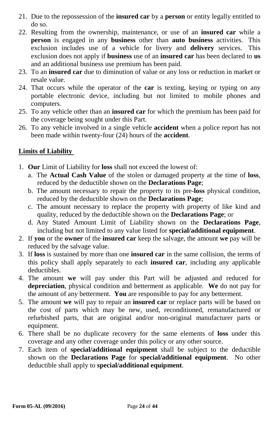- 21. Due to the repossession of the **insured car** by a **person** or entity legally entitled to do so.
- 22. Resulting from the ownership, maintenance, or use of an **insured car** while a **person** is engaged in any **business** other than **auto business** activities. This exclusion includes use of a vehicle for livery and **delivery** services. This exclusion does not apply if **business** use of an **insured car** has been declared to **us**  and an additional business use premium has been paid.
- 23. To an **insured car** due to diminution of value or any loss or reduction in market or resale value.
- 24. That occurs while the operator of the **car** is texting, keying or typing on any portable electronic device, including but not limited to mobile phones and computers.
- 25. To any vehicle other than an **insured car** for which the premium has been paid for the coverage being sought under this Part.
- 26. To any vehicle involved in a single vehicle **accident** when a police report has not been made within twenty-four (24) hours of the **accident**.

## **Limits of Liability**

- 1. **Our** Limit of Liability for **loss** shall not exceed the lowest of:
	- a. The **Actual Cash Value** of the stolen or damaged property at the time of **loss**, reduced by the deductible shown on the **Declarations Page**;
	- b. The amount necessary to repair the property to its pre-**loss** physical condition, reduced by the deductible shown on the **Declarations Page**;
	- c. The amount necessary to replace the property with property of like kind and quality, reduced by the deductible shown on the **Declarations Page**; or
	- d. Any Stated Amount Limit of Liability shown on the **Declarations Page**, including but not limited to any value listed for **special/additional equipment**.
- 2. If **you** or the **owner** of the **insured car** keep the salvage, the amount **we** pay will be reduced by the salvage value.
- 3. If **loss** is sustained by more than one **insured car** in the same collision, the terms of this policy shall apply separately to each **insured car**, including any applicable deductibles.
- 4. The amount **we** will pay under this Part will be adjusted and reduced for **depreciation**, physical condition and betterment as applicable. **We** do not pay for the amount of any betterment. **You** are responsible to pay for any betterment.
- 5. The amount **we** will pay to repair an **insured car** or replace parts will be based on the cost of parts which may be new, used, reconditioned, remanufactured or refurbished parts, that are original and/or non-original manufacturer parts or equipment.
- 6. There shall be no duplicate recovery for the same elements of **loss** under this coverage and any other coverage under this policy or any other source.
- 7. Each item of **special/additional equipment** shall be subject to the deductible shown on the **Declarations Page** for **special/additional equipment**. No other deductible shall apply to **special/additional equipment**.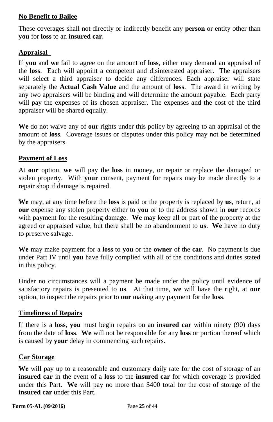## **No Benefit to Bailee**

These coverages shall not directly or indirectly benefit any **person** or entity other than **you** for **loss** to an **insured car**.

## **Appraisal**

If **you** and **we** fail to agree on the amount of **loss**, either may demand an appraisal of the **loss**. Each will appoint a competent and disinterested appraiser. The appraisers will select a third appraiser to decide any differences. Each appraiser will state separately the **Actual Cash Value** and the amount of **loss**. The award in writing by any two appraisers will be binding and will determine the amount payable. Each party will pay the expenses of its chosen appraiser. The expenses and the cost of the third appraiser will be shared equally.

**We** do not waive any of **our** rights under this policy by agreeing to an appraisal of the amount of **loss**. Coverage issues or disputes under this policy may not be determined by the appraisers.

#### **Payment of Loss**

At **our** option, **we** will pay the **loss** in money, or repair or replace the damaged or stolen property. With **your** consent, payment for repairs may be made directly to a repair shop if damage is repaired.

**We** may, at any time before the **loss** is paid or the property is replaced by **us**, return, at **our** expense any stolen property either to **you** or to the address shown in **our** records with payment for the resulting damage. **We** may keep all or part of the property at the agreed or appraised value, but there shall be no abandonment to **us**. **We** have no duty to preserve salvage.

**We** may make payment for a **loss** to **you** or the **owner** of the **car**. No payment is due under Part IV until **you** have fully complied with all of the conditions and duties stated in this policy.

Under no circumstances will a payment be made under the policy until evidence of satisfactory repairs is presented to **us**. At that time, **we** will have the right, at **our** option, to inspect the repairs prior to **our** making any payment for the **loss**.

#### **Timeliness of Repairs**

If there is a **loss**, **you** must begin repairs on an **insured car** within ninety (90) days from the date of **loss**. **We** will not be responsible for any **loss** or portion thereof which is caused by **your** delay in commencing such repairs.

#### **Car Storage**

**We** will pay up to a reasonable and customary daily rate for the cost of storage of an **insured car** in the event of a **loss** to the **insured car** for which coverage is provided under this Part. **We** will pay no more than \$400 total for the cost of storage of the **insured car** under this Part.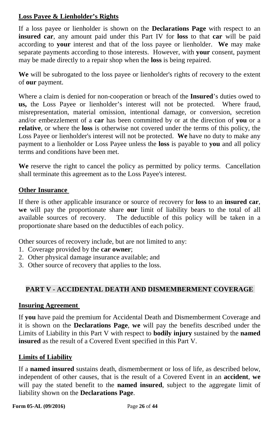## **Loss Payee & Lienholder's Rights**

If a loss payee or lienholder is shown on the **Declarations Page** with respect to an **insured car**, any amount paid under this Part IV for **loss** to that **car** will be paid according to **your** interest and that of the loss payee or lienholder. **We** may make separate payments according to those interests. However, with **your** consent, payment may be made directly to a repair shop when the **loss** is being repaired.

**We** will be subrogated to the loss payee or lienholder's rights of recovery to the extent of **our** payment.

Where a claim is denied for non-cooperation or breach of the **Insured**'s duties owed to **us,** the Loss Payee or lienholder's interest will not be protected. Where fraud, misrepresentation, material omission, intentional damage, or conversion, secretion and/or embezzlement of a **car** has been committed by or at the direction of **you** or a **relative**, or where the **loss** is otherwise not covered under the terms of this policy, the Loss Payee or lienholder's interest will not be protected. **We** have no duty to make any payment to a lienholder or Loss Payee unless the **loss** is payable to **you** and all policy terms and conditions have been met.

**We** reserve the right to cancel the policy as permitted by policy terms. Cancellation shall terminate this agreement as to the Loss Payee's interest.

## **Other Insurance**

If there is other applicable insurance or source of recovery for **loss** to an **insured car**, **we** will pay the proportionate share **our** limit of liability bears to the total of all available sources of recovery. The deductible of this policy will be taken in a proportionate share based on the deductibles of each policy.

Other sources of recovery include, but are not limited to any:

- 1. Coverage provided by the **car owner**;
- 2. Other physical damage insurance available; and
- 3. Other source of recovery that applies to the loss.

## **PART V - ACCIDENTAL DEATH AND DISMEMBERMENT COVERAGE**

#### **Insuring Agreement**

If **you** have paid the premium for Accidental Death and Dismemberment Coverage and it is shown on the **Declarations Page**, **we** will pay the benefits described under the Limits of Liability in this Part V with respect to **bodily injury** sustained by the **named insured** as the result of a Covered Event specified in this Part V.

#### **Limits of Liability**

If a **named insured** sustains death, dismemberment or loss of life, as described below, independent of other causes, that is the result of a Covered Event in an **accident**, **we**  will pay the stated benefit to the **named insured**, subject to the aggregate limit of liability shown on the **Declarations Page**.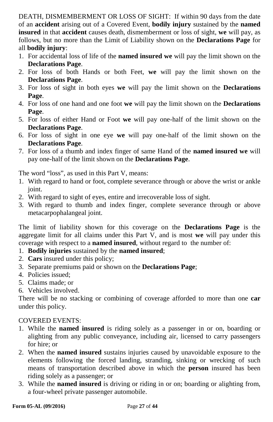DEATH, DISMEMBERMENT OR LOSS OF SIGHT: If within 90 days from the date of an **accident** arising out of a Covered Event, **bodily injury** sustained by the **named insured** in that **accident** causes death, dismemberment or loss of sight, **we** will pay, as follows, but no more than the Limit of Liability shown on the **Declarations Page** for all **bodily injury**:

- 1. For accidental loss of life of the **named insured we** will pay the limit shown on the **Declarations Page**.
- 2. For loss of both Hands or both Feet, **we** will pay the limit shown on the **Declarations Page**.
- 3. For loss of sight in both eyes **we** will pay the limit shown on the **Declarations Page**.
- 4. For loss of one hand and one foot **we** will pay the limit shown on the **Declarations Page**.
- 5. For loss of either Hand or Foot **we** will pay one-half of the limit shown on the **Declarations Page**.
- 6. For loss of sight in one eye **we** will pay one-half of the limit shown on the **Declarations Page**.
- 7. For loss of a thumb and index finger of same Hand of the **named insured we** will pay one-half of the limit shown on the **Declarations Page**.

The word "loss", as used in this Part V, means:

- 1. With regard to hand or foot, complete severance through or above the wrist or ankle joint.
- 2. With regard to sight of eyes, entire and irrecoverable loss of sight.
- 3. With regard to thumb and index finger, complete severance through or above metacarpophalangeal joint.

The limit of liability shown for this coverage on the **Declarations Page** is the aggregate limit for all claims under this Part V, and is most **we** will pay under this coverage with respect to a **named insured**, without regard to the number of:

- 1. **Bodily injuries** sustained by the **named insured**;
- 2. **Cars** insured under this policy;
- 3. Separate premiums paid or shown on the **Declarations Page**;
- 4. Policies issued;
- 5. Claims made; or
- 6. Vehicles involved.

There will be no stacking or combining of coverage afforded to more than one **car** under this policy.

#### COVERED EVENTS:

- 1. While the **named insured** is riding solely as a passenger in or on, boarding or alighting from any public conveyance, including air, licensed to carry passengers for hire; or
- 2. When the **named insured** sustains injuries caused by unavoidable exposure to the elements following the forced landing, stranding, sinking or wrecking of such means of transportation described above in which the **person** insured has been riding solely as a passenger; or
- 3. While the **named insured** is driving or riding in or on; boarding or alighting from, a four-wheel private passenger automobile.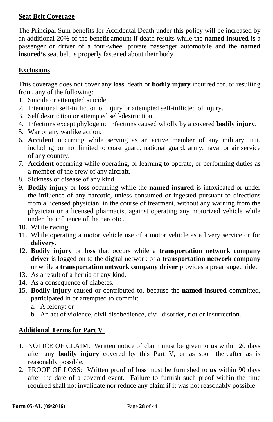## **Seat Belt Coverage**

The Principal Sum benefits for Accidental Death under this policy will be increased by an additional 20% of the benefit amount if death results while the **named insured** is a passenger or driver of a four-wheel private passenger automobile and the **named insured's** seat belt is properly fastened about their body.

## **Exclusions**

This coverage does not cover any **loss**, death or **bodily injury** incurred for, or resulting from, any of the following:

- 1. Suicide or attempted suicide.
- 2. Intentional self-infliction of injury or attempted self-inflicted of injury.
- 3. Self destruction or attempted self-destruction.
- 4. Infections except phylogenic infections caused wholly by a covered **bodily injury**.
- 5. War or any warlike action.
- 6. **Accident** occurring while serving as an active member of any military unit, including but not limited to coast guard, national guard, army, naval or air service of any country.
- 7. **Accident** occurring while operating, or learning to operate, or performing duties as a member of the crew of any aircraft.
- 8. Sickness or disease of any kind.
- 9. **Bodily injury** or **loss** occurring while the **named insured** is intoxicated or under the influence of any narcotic, unless consumed or ingested pursuant to directions from a licensed physician, in the course of treatment, without any warning from the physician or a licensed pharmacist against operating any motorized vehicle while under the influence of the narcotic.
- 10. While **racing**.
- 11. While operating a motor vehicle use of a motor vehicle as a livery service or for **delivery**.
- 12. **Bodily injury** or **loss** that occurs while a **transportation network company driver** is logged on to the digital network of a **transportation network company** or while a **transportation network company driver** provides a prearranged ride.
- 13. As a result of a hernia of any kind.
- 14. As a consequence of diabetes.
- 15. **Bodily injury** caused or contributed to, because the **named insured** committed, participated in or attempted to commit:
	- a. A felony; or
	- b. An act of violence, civil disobedience, civil disorder, riot or insurrection.

#### **Additional Terms for Part V**

- 1. NOTICE OF CLAIM: Written notice of claim must be given to **us** within 20 days after any **bodily injury** covered by this Part V, or as soon thereafter as is reasonably possible.
- 2. PROOF OF LOSS: Written proof of **loss** must be furnished to **us** within 90 days after the date of a covered event. Failure to furnish such proof within the time required shall not invalidate nor reduce any claim if it was not reasonably possible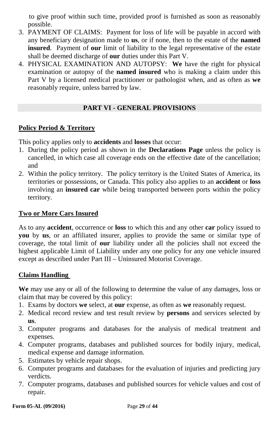to give proof within such time, provided proof is furnished as soon as reasonably possible.

- 3. PAYMENT OF CLAIMS: Payment for loss of life will be payable in accord with any beneficiary designation made to **us**, or if none, then to the estate of the **named insured**. Payment of **our** limit of liability to the legal representative of the estate shall be deemed discharge of **our** duties under this Part V.
- 4. PHYSICAL EXAMINATION AND AUTOPSY: **We** have the right for physical examination or autopsy of the **named insured** who is making a claim under this Part V by a licensed medical practitioner or pathologist when, and as often as **we**  reasonably require, unless barred by law.

#### **PART VI - GENERAL PROVISIONS**

#### **Policy Period & Territory**

This policy applies only to **accidents** and **losses** that occur:

- 1. During the policy period as shown in the **Declarations Page** unless the policy is cancelled, in which case all coverage ends on the effective date of the cancellation; and
- 2. Within the policy territory. The policy territory is the United States of America, its territories or possessions, or Canada. This policy also applies to an **accident** or **loss** involving an **insured car** while being transported between ports within the policy territory.

#### **Two or More Cars Insured**

As to any **accident**, occurrence or **loss** to which this and any other **car** policy issued to **you** by **us**, or an affiliated insurer, applies to provide the same or similar type of coverage, the total limit of **our** liability under all the policies shall not exceed the highest applicable Limit of Liability under any one policy for any one vehicle insured except as described under Part III – Uninsured Motorist Coverage.

#### **Claims Handling**

**We** may use any or all of the following to determine the value of any damages, loss or claim that may be covered by this policy:

- 1. Exams by doctors **we** select, at **our** expense, as often as **we** reasonably request.
- 2. Medical record review and test result review by **persons** and services selected by **us**.
- 3. Computer programs and databases for the analysis of medical treatment and expenses.
- 4. Computer programs, databases and published sources for bodily injury, medical, medical expense and damage information.
- 5. Estimates by vehicle repair shops.
- 6. Computer programs and databases for the evaluation of injuries and predicting jury verdicts.
- 7. Computer programs, databases and published sources for vehicle values and cost of repair.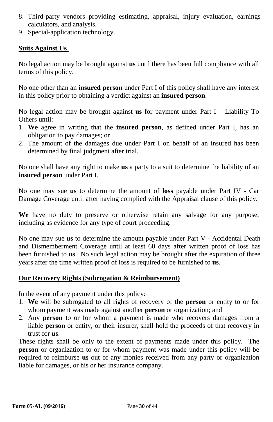- 8. Third-party vendors providing estimating, appraisal, injury evaluation, earnings calculators, and analysis.
- 9. Special-application technology.

#### **Suits Against Us**

No legal action may be brought against **us** until there has been full compliance with all terms of this policy.

No one other than an **insured person** under Part I of this policy shall have any interest in this policy prior to obtaining a verdict against an **insured person**.

No legal action may be brought against **us** for payment under Part I – Liability To Others until:

- 1. **We** agree in writing that the **insured person**, as defined under Part I, has an obligation to pay damages; or
- 2. The amount of the damages due under Part I on behalf of an insured has been determined by final judgment after trial.

No one shall have any right to make **us** a party to a suit to determine the liability of an **insured person** under Part I.

No one may sue **us** to determine the amount of **loss** payable under Part IV - Car Damage Coverage until after having complied with the Appraisal clause of this policy.

**We** have no duty to preserve or otherwise retain any salvage for any purpose, including as evidence for any type of court proceeding.

No one may sue **us** to determine the amount payable under Part V - Accidental Death and Dismemberment Coverage until at least 60 days after written proof of loss has been furnished to **us**. No such legal action may be brought after the expiration of three years after the time written proof of loss is required to be furnished to **us**.

#### **Our Recovery Rights (Subrogation & Reimbursement)**

In the event of any payment under this policy:

- 1. **We** will be subrogated to all rights of recovery of the **person** or entity to or for whom payment was made against another **person** or organization; and
- 2. Any **person** to or for whom a payment is made who recovers damages from a liable **person** or entity, or their insurer, shall hold the proceeds of that recovery in trust for **us**.

These rights shall be only to the extent of payments made under this policy. The **person** or organization to or for whom payment was made under this policy will be required to reimburse **us** out of any monies received from any party or organization liable for damages, or his or her insurance company.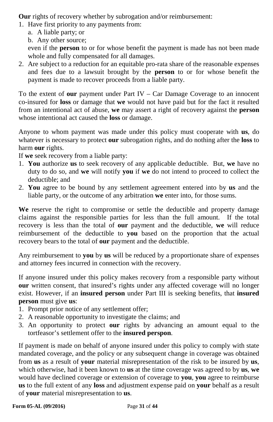**Our** rights of recovery whether by subrogation and/or reimbursement:

- 1. Have first priority to any payments from:
	- a. A liable party; or
	- b. Any other source;

even if the **person** to or for whose benefit the payment is made has not been made whole and fully compensated for all damages.

2. Are subject to a reduction for an equitable pro-rata share of the reasonable expenses and fees due to a lawsuit brought by the **person** to or for whose benefit the payment is made to recover proceeds from a liable party.

To the extent of **our** payment under Part IV – Car Damage Coverage to an innocent co-insured for **loss** or damage that **we** would not have paid but for the fact it resulted from an intentional act of abuse, **we** may assert a right of recovery against the **person** whose intentional act caused the **loss** or damage.

Anyone to whom payment was made under this policy must cooperate with **us**, do whatever is necessary to protect **our** subrogation rights, and do nothing after the **loss** to harm **our** rights.

If **we** seek recovery from a liable party:

- 1. **You** authorize **us** to seek recovery of any applicable deductible. But, **we** have no duty to do so, and **we** will notify **you** if **we** do not intend to proceed to collect the deductible; and
- 2. **You** agree to be bound by any settlement agreement entered into by **us** and the liable party, or the outcome of any arbitration **we** enter into, for those sums.

**We** reserve the right to compromise or settle the deductible and property damage claims against the responsible parties for less than the full amount. If the total recovery is less than the total of **our** payment and the deductible, **we** will reduce reimbursement of the deductible to **you** based on the proportion that the actual recovery bears to the total of **our** payment and the deductible.

Any reimbursement to **you** by **us** will be reduced by a proportionate share of expenses and attorney fees incurred in connection with the recovery.

If anyone insured under this policy makes recovery from a responsible party without **our** written consent, that insured's rights under any affected coverage will no longer exist. However, if an **insured person** under Part III is seeking benefits, that **insured person** must give **us**:

- 1. Prompt prior notice of any settlement offer;
- 2. A reasonable opportunity to investigate the claims; and
- 3. An opportunity to protect **our** rights by advancing an amount equal to the tortfeasor's settlement offer to the **insured perspon**.

If payment is made on behalf of anyone insured under this policy to comply with state mandated coverage, and the policy or any subsequent change in coverage was obtained from **us** as a result of **your** material misrepresentation of the risk to be insured by **us**, which otherwise, had it been known to **us** at the time coverage was agreed to by **us**, **we**  would have declined coverage or extension of coverage to **you**, **you** agree to reimburse **us** to the full extent of any **loss** and adjustment expense paid on **your** behalf as a result of **your** material misrepresentation to **us**.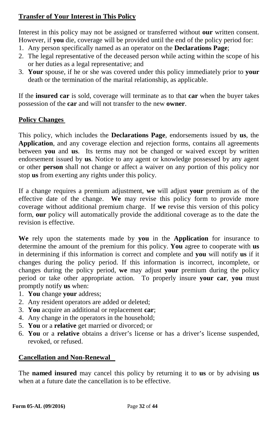## **Transfer of Your Interest in This Policy**

Interest in this policy may not be assigned or transferred without **our** written consent. However, if **you** die, coverage will be provided until the end of the policy period for:

- 1. Any person specifically named as an operator on the **Declarations Page**;
- 2. The legal representative of the deceased person while acting within the scope of his or her duties as a legal representative; and
- 3. **Your** spouse, if he or she was covered under this policy immediately prior to **your** death or the termination of the marital relationship, as applicable.

If the **insured car** is sold, coverage will terminate as to that **car** when the buyer takes possession of the **car** and will not transfer to the new **owner**.

#### **Policy Changes**

This policy, which includes the **Declarations Page**, endorsements issued by **us**, the **Application**, and any coverage election and rejection forms, contains all agreements between **you** and **us**. Its terms may not be changed or waived except by written endorsement issued by **us**. Notice to any agent or knowledge possessed by any agent or other **person** shall not change or affect a waiver on any portion of this policy nor stop **us** from exerting any rights under this policy.

If a change requires a premium adjustment, **we** will adjust **your** premium as of the effective date of the change. **We** may revise this policy form to provide more coverage without additional premium charge. If **we** revise this version of this policy form, **our** policy will automatically provide the additional coverage as to the date the revision is effective.

**We** rely upon the statements made by **you** in the **Application** for insurance to determine the amount of the premium for this policy. **You** agree to cooperate with **us** in determining if this information is correct and complete and **you** will notify **us** if it changes during the policy period. If this information is incorrect, incomplete, or changes during the policy period, **we** may adjust **your** premium during the policy period or take other appropriate action. To properly insure **your car**, **you** must promptly notify **us** when:

- 1. **You** change **your** address;
- 2. Any resident operators are added or deleted;
- 3. **You** acquire an additional or replacement **car**;
- 4. Any change in the operators in the household;
- 5. **You** or a **relative** get married or divorced; or
- 6. **You** or a **relative** obtains a driver's license or has a driver's license suspended, revoked, or refused.

#### **Cancellation and Non-Renewal**

The **named insured** may cancel this policy by returning it to **us** or by advising **us** when at a future date the cancellation is to be effective.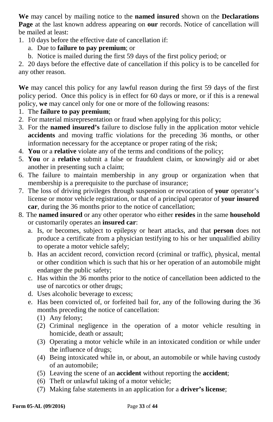**We** may cancel by mailing notice to the **named insured** shown on the **Declarations Page** at the last known address appearing on **our** records. Notice of cancellation will be mailed at least:

- 1. 10 days before the effective date of cancellation if:
	- a. Due to **failure to pay premium**; or
	- b. Notice is mailed during the first 59 days of the first policy period; or

2. 20 days before the effective date of cancellation if this policy is to be cancelled for any other reason.

**We** may cancel this policy for any lawful reason during the first 59 days of the first policy period. Once this policy is in effect for 60 days or more, or if this is a renewal policy, **we** may cancel only for one or more of the following reasons:

- 1. The **failure to pay premium**;
- 2. For material misrepresentation or fraud when applying for this policy;
- 3. For the **named insured's** failure to disclose fully in the application motor vehicle **accidents** and moving traffic violations for the preceding 36 months, or other information necessary for the acceptance or proper rating of the risk;
- 4. **You** or a **relative** violate any of the terms and conditions of the policy;
- 5. **You** or a **relative** submit a false or fraudulent claim, or knowingly aid or abet another in presenting such a claim;
- 6. The failure to maintain membership in any group or organization when that membership is a prerequisite to the purchase of insurance;
- 7. The loss of driving privileges through suspension or revocation of **your** operator's license or motor vehicle registration, or that of a principal operator of **your insured car**, during the 36 months prior to the notice of cancellation;
- 8. The **named insured** or any other operator who either **resides** in the same **household** or customarily operates an **insured car**:
	- a. Is, or becomes, subject to epilepsy or heart attacks, and that **person** does not produce a certificate from a physician testifying to his or her unqualified ability to operate a motor vehicle safely;
	- b. Has an accident record, conviction record (criminal or traffic), physical, mental or other condition which is such that his or her operation of an automobile might endanger the public safety;
	- c. Has within the 36 months prior to the notice of cancellation been addicted to the use of narcotics or other drugs;
	- d. Uses alcoholic beverage to excess;
	- e. Has been convicted of, or forfeited bail for, any of the following during the 36 months preceding the notice of cancellation:
		- (1) Any felony;
		- (2) Criminal negligence in the operation of a motor vehicle resulting in homicide, death or assault;
		- (3) Operating a motor vehicle while in an intoxicated condition or while under the influence of drugs;
		- (4) Being intoxicated while in, or about, an automobile or while having custody of an automobile;
		- (5) Leaving the scene of an **accident** without reporting the **accident**;
		- (6) Theft or unlawful taking of a motor vehicle;
		- (7) Making false statements in an application for a **driver's license**;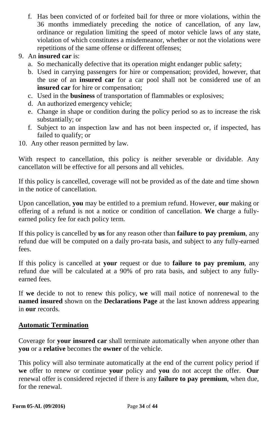f. Has been convicted of or forfeited bail for three or more violations, within the 36 months immediately preceding the notice of cancellation, of any law, ordinance or regulation limiting the speed of motor vehicle laws of any state, violation of which constitutes a misdemeanor, whether or not the violations were repetitions of the same offense or different offenses:

#### 9. An **insured car** is:

- a. So mechanically defective that its operation might endanger public safety;
- b. Used in carrying passengers for hire or compensation; provided, however, that the use of an **insured car** for a car pool shall not be considered use of an **insured car** for hire or compensation;
- c. Used in the **business** of transportation of flammables or explosives;
- d. An authorized emergency vehicle;
- e. Change in shape or condition during the policy period so as to increase the risk substantially; or
- f. Subject to an inspection law and has not been inspected or, if inspected, has failed to qualify; or
- 10. Any other reason permitted by law.

With respect to cancellation, this policy is neither severable or dividable. Any cancellaton will be effective for all persons and all vehicles.

If this policy is cancelled, coverage will not be provided as of the date and time shown in the notice of cancellation.

Upon cancellation, **you** may be entitled to a premium refund. However, **our** making or offering of a refund is not a notice or condition of cancellation. **We** charge a fullyearned policy fee for each policy term.

If this policy is cancelled by **us** for any reason other than **failure to pay premium**, any refund due will be computed on a daily pro-rata basis, and subject to any fully-earned fees.

If this policy is cancelled at **your** request or due to **failure to pay premium**, any refund due will be calculated at a 90% of pro rata basis, and subject to any fullyearned fees.

If **we** decide to not to renew this policy, **we** will mail notice of nonrenewal to the **named insured** shown on the **Declarations Page** at the last known address appearing in **our** records.

#### **Automatic Termination**

Coverage for **your insured car** shall terminate automatically when anyone other than **you** or a **relative** becomes the **owner** of the vehicle.

This policy will also terminate automatically at the end of the current policy period if **we** offer to renew or continue **your** policy and **you** do not accept the offer. **Our**  renewal offer is considered rejected if there is any **failure to pay premium**, when due, for the renewal.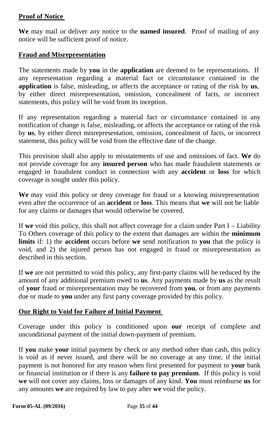### **Proof of Notice**

**We** may mail or deliver any notice to the **named insured**. Proof of mailing of any notice will be sufficient proof of notice.

#### **Fraud and Misrepresentation**

The statements made by **you** in the **application** are deemed to be representations. If any representation regarding a material fact or circumstance contained in the **application** is false, misleading, or affects the acceptance or rating of the risk by **us**, by either direct misrepresentation, omission, concealment of facts, or incorrect statements, this policy will be void from its inception.

If any representation regarding a material fact or circumstance contained in any notification of change is false, misleading, or affects the acceptance or rating of the risk by **us**, by either direct misrepresentation, omission, concealment of facts, or incorrect statement, this policy will be void from the effective date of the change.

This provision shall also apply to misstatements of use and omissions of fact. **We** do not provide coverage for any **insured person** who has made fraudulent statements or engaged in fraudulent conduct in connection with any **accident** or **loss** for which coverage is sought under this policy.

**We** may void this policy or deny coverage for fraud or a knowing misrepresentation even after the occurrence of an **accident** or **loss**. This means that **we** will not be liable for any claims or damages that would otherwise be covered.

If **we** void this policy, this shall not affect coverage for a claim under Part I – Liability To Others coverage of this policy to the extent that damages are within the **minimum limits** if: 1) the **accident** occurs before **we** send notification to **you** that the policy is void, and 2) the injured person has not engaged in fraud or misrepresentation as described in this section.

If **we** are not permitted to void this policy, any first-party claims will be reduced by the amount of any additional premium owed to **us**. Any payments made by **us** as the result of **your** fraud or misrepresentation may be recovered from **you**, or from any payments due or made to **you** under any first party coverage provided by this policy.

## **Our Right to Void for Failure of Initial Payment**

Coverage under this policy is conditioned upon **our** receipt of complete and unconditional payment of the initial down-payment of premium.

If **you** make **your** initial payment by check or any method other than cash, this policy is void as if never issued, and there will be no coverage at any time, if the initial payment is not honored for any reason when first presented for payment to **your** bank or financial institution or if there is any **failure to pay premium**. If this policy is void **we** will not cover any claims, loss or damages of any kind. **You** must reimburse **us** for any amounts **we** are required by law to pay after **we** void the policy.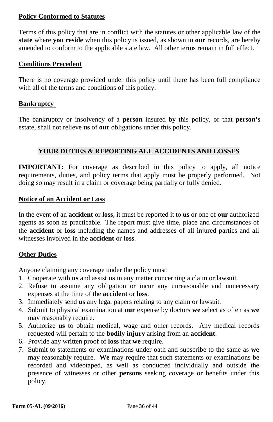#### **Policy Conformed to Statutes**

Terms of this policy that are in conflict with the statutes or other applicable law of the **state** where **you reside** when this policy is issued, as shown in **our** records, are hereby amended to conform to the applicable state law. All other terms remain in full effect.

#### **Conditions Precedent**

There is no coverage provided under this policy until there has been full compliance with all of the terms and conditions of this policy.

#### **Bankruptcy**

The bankruptcy or insolvency of a **person** insured by this policy, or that **person's** estate, shall not relieve **us** of **our** obligations under this policy.

## **YOUR DUTIES & REPORTING ALL ACCIDENTS AND LOSSES**

**IMPORTANT:** For coverage as described in this policy to apply, all notice requirements, duties, and policy terms that apply must be properly performed. Not doing so may result in a claim or coverage being partially or fully denied.

#### **Notice of an Accident or Loss**

In the event of an **accident** or **loss**, it must be reported it to **us** or one of **our** authorized agents as soon as practicable. The report must give time, place and circumstances of the **accident** or **loss** including the names and addresses of all injured parties and all witnesses involved in the **accident** or **loss**.

#### **Other Duties**

Anyone claiming any coverage under the policy must:

- 1. Cooperate with **us** and assist **us** in any matter concerning a claim or lawsuit.
- 2. Refuse to assume any obligation or incur any unreasonable and unnecessary expenses at the time of the **accident** or **loss**.
- 3. Immediately send **us** any legal papers relating to any claim or lawsuit.
- 4. Submit to physical examination at **our** expense by doctors **we** select as often as **we**  may reasonably require.
- 5. Authorize **us** to obtain medical, wage and other records. Any medical records requested will pertain to the **bodily injury** arising from an **accident**.
- 6. Provide any written proof of **loss** that **we** require.
- 7. Submit to statements or examinations under oath and subscribe to the same as **we** may reasonably require. **We** may require that such statements or examinations be recorded and videotaped, as well as conducted individually and outside the presence of witnesses or other **persons** seeking coverage or benefits under this policy.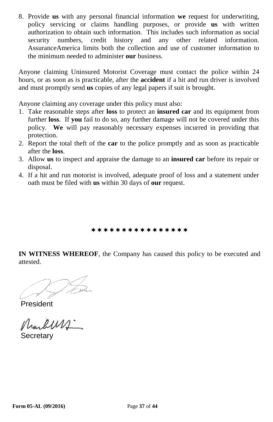8. Provide **us** with any personal financial information **we** request for underwriting, policy servicing or claims handling purposes, or provide **us** with written authorization to obtain such information. This includes such information as social security numbers, credit history and any other related information. AssuranceAmerica limits both the collection and use of customer information to the minimum needed to administer **our** business.

Anyone claiming Uninsured Motorist Coverage must contact the police within 24 hours, or as soon as is practicable, after the **accident** if a hit and run driver is involved and must promptly send **us** copies of any legal papers if suit is brought.

Anyone claiming any coverage under this policy must also:

- 1. Take reasonable steps after **loss** to protect an **insured car** and its equipment from further **loss**.If **you** fail to do so, any further damage will not be covered under this policy. **We** will pay reasonably necessary expenses incurred in providing that protection.
- 2. Report the total theft of the **car** to the police promptly and as soon as practicable after the **loss**.
- 3. Allow **us** to inspect and appraise the damage to an **insured car** before its repair or disposal.
- 4. If a hit and run motorist is involved, adequate proof of loss and a statement under oath must be filed with **us** within 30 days of **our** request.

\*\*\*\*\*\*\*\*\*\*\*\*\*\*\*\*

**IN WITNESS WHEREOF**, the Company has caused this policy to be executed and attested.

President

**Secretary**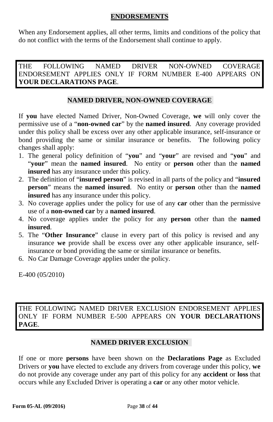#### **ENDORSEMENTS**

When any Endorsement applies, all other terms, limits and conditions of the policy that do not conflict with the terms of the Endorsement shall continue to apply.

THE FOLLOWING NAMED DRIVER NON-OWNED COVERAGE ENDORSEMENT APPLIES ONLY IF FORM NUMBER E-400 APPEARS ON **YOUR DECLARATIONS PAGE**.

## **NAMED DRIVER, NON-OWNED COVERAGE**

If **you** have elected Named Driver, Non-Owned Coverage, **we** will only cover the permissive use of a "**non-owned car**" by the **named insured**. Any coverage provided under this policy shall be excess over any other applicable insurance, self-insurance or bond providing the same or similar insurance or benefits. The following policy changes shall apply:

- 1. The general policy definition of "**you**" and "**your**" are revised and "**you**" and "**your**" mean the **named insured**. No entity or **person** other than the **named insured** has any insurance under this policy.
- 2. The definition of "**insured person**" is revised in all parts of the policy and "**insured person**" means the **named insured**. No entity or **person** other than the **named insured** has any insurance under this policy.
- 3. No coverage applies under the policy for use of any **car** other than the permissive use of a **non-owned car** by a **named insured**.
- 4. No coverage applies under the policy for any **person** other than the **named insured**.
- 5. The "**Other Insurance**" clause in every part of this policy is revised and any insurance **we** provide shall be excess over any other applicable insurance, selfinsurance or bond providing the same or similar insurance or benefits.
- 6. No Car Damage Coverage applies under the policy.

E-400 (05/2010)

THE FOLLOWING NAMED DRIVER EXCLUSION ENDORSEMENT APPLIES ONLY IF FORM NUMBER E-500 APPEARS ON **YOUR DECLARATIONS PAGE**.

#### **NAMED DRIVER EXCLUSION**

If one or more **persons** have been shown on the **Declarations Page** as Excluded Drivers or **you** have elected to exclude any drivers from coverage under this policy, **we** do not provide any coverage under any part of this policy for any **accident** or **loss** that occurs while any Excluded Driver is operating a **car** or any other motor vehicle.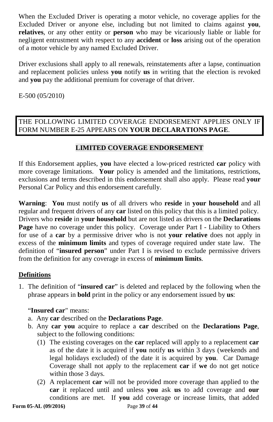When the Excluded Driver is operating a motor vehicle, no coverage applies for the Excluded Driver or anyone else, including but not limited to claims against **you**, **relatives**, or any other entity or **person** who may be vicariously liable or liable for negligent entrustment with respect to any **accident** or **loss** arising out of the operation of a motor vehicle by any named Excluded Driver.

Driver exclusions shall apply to all renewals, reinstatements after a lapse, continuation and replacement policies unless **you** notify **us** in writing that the election is revoked and **you** pay the additional premium for coverage of that driver.

E-500 (05/2010)

## THE FOLLOWING LIMITED COVERAGE ENDORSEMENT APPLIES ONLY IF FORM NUMBER E-25 APPEARS ON **YOUR DECLARATIONS PAGE**.

## **LIMITED COVERAGE ENDORSEMENT**

If this Endorsement applies, **you** have elected a low-priced restricted **car** policy with more coverage limitations. **Your** policy is amended and the limitations, restrictions, exclusions and terms described in this endorsement shall also apply.Please read **your** Personal Car Policy and this endorsement carefully.

**Warning**: **You** must notify **us** of all drivers who **reside** in **your household** and all regular and frequent drivers of any **car** listed on this policy that this is a limited policy. Drivers who **reside** in **your household** but are not listed as drivers on the **Declarations**  Page have no coverage under this policy. Coverage under Part I - Liability to Others for use of a **car** by a permissive driver who is not **your relative** does not apply in excess of the **minimum limits** and types of coverage required under state law. The definition of "**insured person**" under Part I is revised to exclude permissive drivers from the definition for any coverage in excess of **minimum limits**.

#### **Definitions**

1. The definition of "**insured car**" is deleted and replaced by the following when the phrase appears in **bold** print in the policy or any endorsement issued by **us**:

#### "**Insured car**" means:

- a. Any **car** described on the **Declarations Page**.
- b. Any **car you** acquire to replace a **car** described on the **Declarations Page**, subject to the following conditions:
	- (1) The existing coverages on the **car** replaced will apply to a replacement **car**  as of the date it is acquired if **you** notify **us** within 3 days (weekends and legal holidays excluded) of the date it is acquired by **you**. Car Damage Coverage shall not apply to the replacement **car** if **we** do not get notice within those 3 days.
	- (2) A replacement **car** will not be provided more coverage than applied to the **car** it replaced until and unless **you** ask **us** to add coverage and **our** conditions are met. If **you** add coverage or increase limits, that added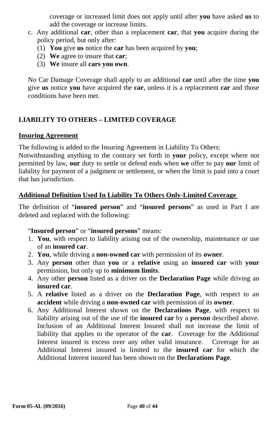coverage or increased limit does not apply until after **you** have asked **us** to add the coverage or increase limits.

- c. Any additional **car**, other than a replacement **car**, that **you** acquire during the policy period, but only after:
	- (1) **You** give **us** notice the **car** has been acquired by **you**;
	- (2) **We** agree to insure that **car**;
	- (3) **We** insure all **cars you own**.

No Car Damage Coverage shall apply to an additional **car** until after the time **you** give **us** notice **you** have acquired the **car**, unless it is a replacement **car** and those conditions have been met.

## **LIABILITY TO OTHERS – LIMITED COVERAGE**

#### **Insuring Agreement**

The following is added to the Insuring Agreement in Liability To Others:

Notwithstanding anything to the contrary set forth in **your** policy, except where not permitted by law, **our** duty to settle or defend ends when **we** offer to pay **our** limit of liability for payment of a judgment or settlement, or when the limit is paid into a court that has jurisdiction.

#### **Additional Definition Used In Liability To Others Only-Limited Coverage**

The definition of "**insured person**" and "**insured persons**" as used in Part I are deleted and replaced with the following:

#### "**Insured person**" or "**insured persons**" means:

- 1. **You**, with respect to liability arising out of the ownership, maintenance or use of an **insured car**.
- 2. **You**, while driving a **non-owned car** with permission of its **owner**.
- 3. Any **person** other than **you** or a **relative** using an **insured car** with **your**  permission, but only up to **minimum limits**.
- 4. Any other **person** listed as a driver on the **Declaration Page** while driving an **insured car**.
- 5. A **relative** listed as a driver on the **Declaration Page**, with respect to an **accident** while driving a **non-owned car** with permission of its **owner**.
- 6. Any Additional Interest shown on the **Declarations Page**, with respect to liability arising out of the use of the **insured car** by a **person** described above. Inclusion of an Additional Interest Insured shall not increase the limit of liability that applies to the operator of the **car**. Coverage for the Additional Interest insured is excess over any other valid insurance. Coverage for an Additional Interest insured is limited to the **insured car** for which the Additional Interest insured has been shown on the **Declarations Page**.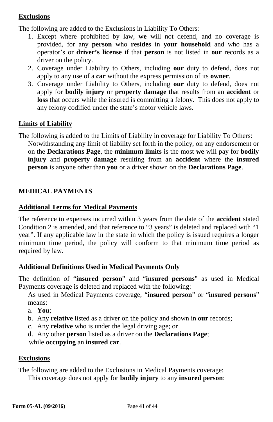## **Exclusions**

The following are added to the Exclusions in Liability To Others:

- 1. Except where prohibited by law, **we** will not defend, and no coverage is provided, for any **person** who **resides** in **your household** and who has a operator's or **driver's license** if that **person** is not listed in **our** records as a driver on the policy.
- 2. Coverage under Liability to Others, including **our** duty to defend, does not apply to any use of a **car** without the express permission of its **owner**.
- 3. Coverage under Liability to Others, including **our** duty to defend, does not apply for **bodily injury** or **property damage** that results from an **accident** or **loss** that occurs while the insured is committing a felony. This does not apply to any felony codified under the state's motor vehicle laws.

## **Limits of Liability**

The following is added to the Limits of Liability in coverage for Liability To Others: Notwithstanding any limit of liability set forth in the policy, on any endorsement or on the **Declarations Page**, the **minimum limits** is the most **we** will pay for **bodily injury** and **property damage** resulting from an **accident** where the **insured person** is anyone other than **you** or a driver shown on the **Declarations Page**.

## **MEDICAL PAYMENTS**

## **Additional Terms for Medical Payments**

The reference to expenses incurred within 3 years from the date of the **accident** stated Condition 2 is amended, and that reference to "3 years" is deleted and replaced with "1 year". If any applicable law in the state in which the policy is issued requires a longer minimum time period, the policy will conform to that minimum time period as required by law.

## **Additional Definitions Used in Medical Payments Only**

The definition of "**insured person**" and "**insured persons**" as used in Medical Payments coverage is deleted and replaced with the following:

As used in Medical Payments coverage, "**insured person**" or "**insured persons**" means:

- a. **You**;
- b. Any **relative** listed as a driver on the policy and shown in **our** records;
- c. Any **relative** who is under the legal driving age; or
- d. Any other **person** listed as a driver on the **Declarations Page**;

while **occupying** an **insured car**.

#### **Exclusions**

The following are added to the Exclusions in Medical Payments coverage: This coverage does not apply for **bodily injury** to any **insured person**: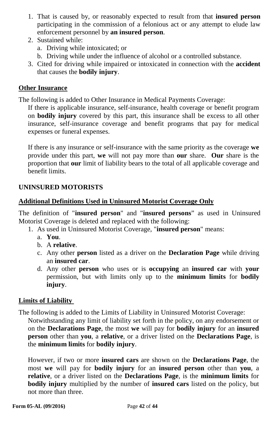- 1. That is caused by, or reasonably expected to result from that **insured person** participating in the commission of a felonious act or any attempt to elude law enforcement personnel by **an insured person**.
- 2. Sustained while:
	- a. Driving while intoxicated; or
	- b. Driving while under the influence of alcohol or a controlled substance.
- 3. Cited for driving while impaired or intoxicated in connection with the **accident** that causes the **bodily injury**.

#### **Other Insurance**

The following is added to Other Insurance in Medical Payments Coverage:

If there is applicable insurance, self-insurance, health coverage or benefit program on **bodily injury** covered by this part, this insurance shall be excess to all other insurance, self-insurance coverage and benefit programs that pay for medical expenses or funeral expenses.

If there is any insurance or self-insurance with the same priority as the coverage **we**  provide under this part, **we** will not pay more than **our** share. **Our** share is the proportion that **our** limit of liability bears to the total of all applicable coverage and benefit limits.

#### **UNINSURED MOTORISTS**

#### **Additional Definitions Used in Uninsured Motorist Coverage Only**

The definition of "**insured person**" and "**insured persons**" as used in Uninsured Motorist Coverage is deleted and replaced with the following:

- 1. As used in Uninsured Motorist Coverage, "**insured person**" means:
	- a. **You**.
	- b. A **relative**.
	- c. Any other **person** listed as a driver on the **Declaration Page** while driving an **insured car**.
	- d. Any other **person** who uses or is **occupying** an **insured car** with **your** permission, but with limits only up to the **minimum limits** for **bodily injury**.

#### **Limits of Liability**

The following is added to the Limits of Liability in Uninsured Motorist Coverage:

Notwithstanding any limit of liability set forth in the policy, on any endorsement or on the **Declarations Page**, the most **we** will pay for **bodily injury** for an **insured person** other than **you**, a **relative**, or a driver listed on the **Declarations Page**, is the **minimum limits** for **bodily injury**.

However, if two or more **insured cars** are shown on the **Declarations Page**, the most **we** will pay for **bodily injury** for an **insured person** other than **you**, a **relative**, or a driver listed on the **Declarations Page**, is the **minimum limits** for **bodily injury** multiplied by the number of **insured cars** listed on the policy, but not more than three.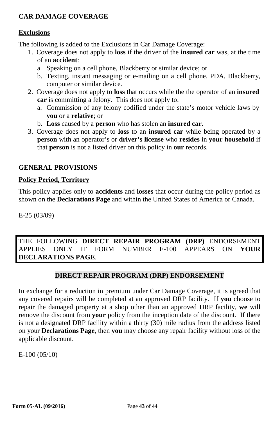## **CAR DAMAGE COVERAGE**

#### **Exclusions**

The following is added to the Exclusions in Car Damage Coverage:

- 1. Coverage does not apply to **loss** if the driver of the **insured car** was, at the time of an **accident**:
	- a. Speaking on a cell phone, Blackberry or similar device; or
	- b. Texting, instant messaging or e-mailing on a cell phone, PDA, Blackberry, computer or similar device.
- 2. Coverage does not apply to **loss** that occurs while the the operator of an **insured car** is committing a felony. This does not apply to:
	- a. Commission of any felony codified under the state's motor vehicle laws by **you** or a **relative**; or
	- b. **Loss** caused by a **person** who has stolen an **insured car**.
- 3. Coverage does not apply to **loss** to an **insured car** while being operated by a **person** with an operator's or **driver's license** who **resides** in **your household** if that **person** is not a listed driver on this policy in **our** records.

## **GENERAL PROVISIONS**

## **Policy Period, Territory**

This policy applies only to **accidents** and **losses** that occur during the policy period as shown on the **Declarations Page** and within the United States of America or Canada.

E-25 (03/09)

THE FOLLOWING **DIRECT REPAIR PROGRAM (DRP)** ENDORSEMENT APPLIES ONLY IF FORM NUMBER E-100 APPEARS ON **YOUR DECLARATIONS PAGE**.

#### **DIRECT REPAIR PROGRAM (DRP) ENDORSEMENT**

In exchange for a reduction in premium under Car Damage Coverage, it is agreed that any covered repairs will be completed at an approved DRP facility. If **you** choose to repair the damaged property at a shop other than an approved DRP facility, **we** will remove the discount from **your** policy from the inception date of the discount. If there is not a designated DRP facility within a thirty (30) mile radius from the address listed on your **Declarations Page**, then **you** may choose any repair facility without loss of the applicable discount.

E-100 (05/10)